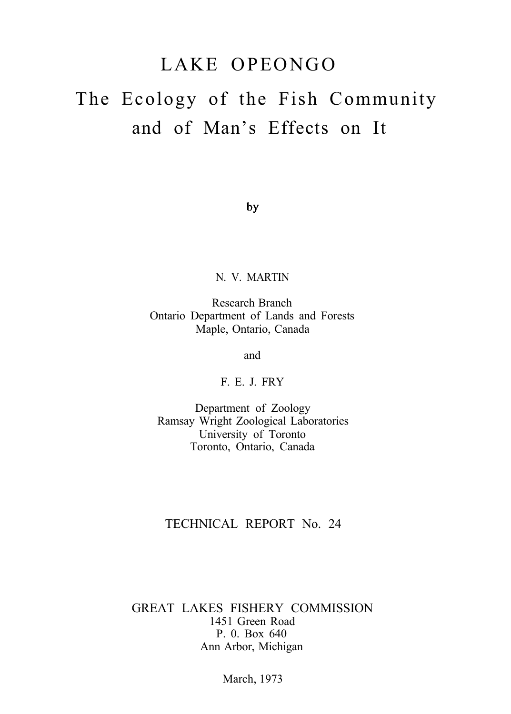# LAKE OPEONGO

# The Ecology of the Fish Community and of Man's Effects on It

by

#### N. V. MARTIN

Research Branch Ontario Department of Lands and Forests Maple, Ontario, Canada

and

F. E. J. FRY

Department of Zoology Ramsay Wright Zoological Laboratories University of Toronto Toronto, Ontario, Canada

### TECHNICAL REPORT No. 24

#### GREAT LAKES FISHERY COMMISSION 1451 Green Road P. 0. Box 640 Ann Arbor, Michigan

March, 1973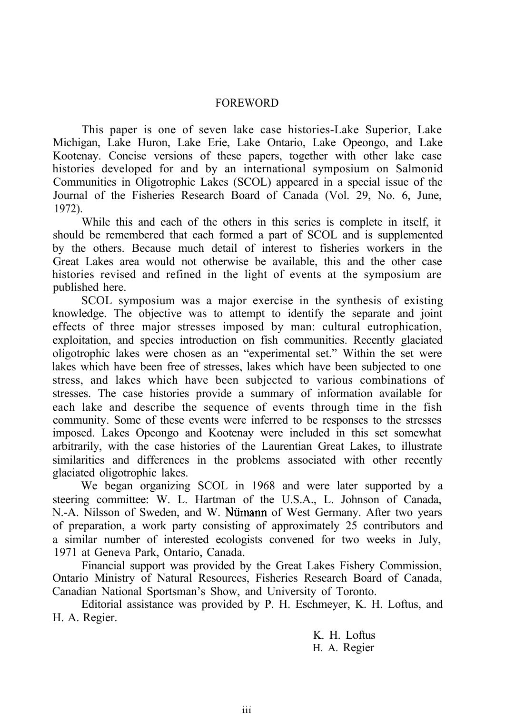#### FOREWORD

This paper is one of seven lake case histories-Lake Superior, Lake Michigan, Lake Huron, Lake Erie, Lake Ontario, Lake Opeongo, and Lake Kootenay. Concise versions of these papers, together with other lake case histories developed for and by an international symposium on Salmonid Communities in Oligotrophic Lakes (SCOL) appeared in a special issue of the Journal of the Fisheries Research Board of Canada (Vol. 29, No. 6, June, 1972).

While this and each of the others in this series is complete in itself, it should be remembered that each formed a part of SCOL and is supplemented by the others. Because much detail of interest to fisheries workers in the Great Lakes area would not otherwise be available, this and the other case histories revised and refined in the light of events at the symposium are published here.

SCOL symposium was a major exercise in the synthesis of existing knowledge. The objective was to attempt to identify the separate and joint effects of three major stresses imposed by man: cultural eutrophication, exploitation, and species introduction on fish communities. Recently glaciated oligotrophic lakes were chosen as an "experimental set." Within the set were lakes which have been free of stresses, lakes which have been subjected to one stress, and lakes which have been subjected to various combinations of stresses. The case histories provide a summary of information available for each lake and describe the sequence of events through time in the fish community. Some of these events were inferred to be responses to the stresses imposed. Lakes Opeongo and Kootenay were included in this set somewhat arbitrarily, with the case histories of the Laurentian Great Lakes, to illustrate similarities and differences in the problems associated with other recently glaciated oligotrophic lakes.

We began organizing SCOL in 1968 and were later supported by a steering committee: W. L. Hartman of the U.S.A., L. Johnson of Canada, N.-A. Nilsson of Sweden, and W. Numann of West Germany. After two years of preparation, a work party consisting of approximately 25 contributors and a similar number of interested ecologists convened for two weeks in July, 1971 at Geneva Park, Ontario, Canada.

Financial support was provided by the Great Lakes Fishery Commission, Ontario Ministry of Natural Resources, Fisheries Research Board of Canada, Canadian National Sportsman's Show, and University of Toronto.

Editorial assistance was provided by P. H. Eschmeyer, K. H. Loftus, and H. A. Regier.

> K. H. Loftus H. A. Regier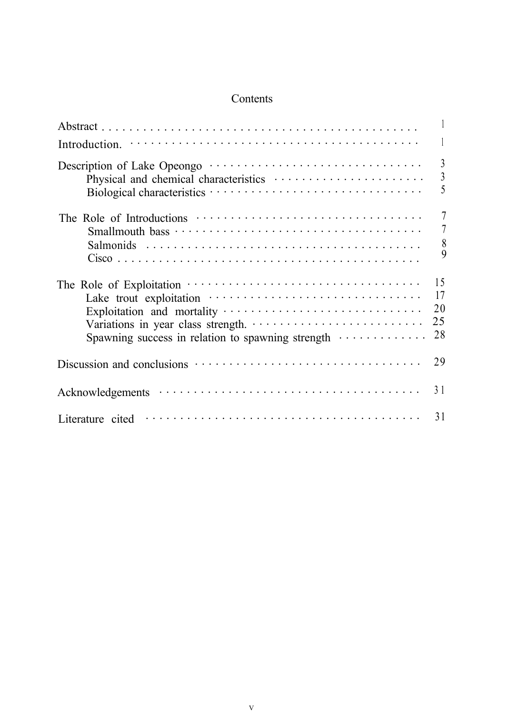## Contents

|                                                   | $\overline{3}$<br>$\mathfrak{Z}$<br>5 |
|---------------------------------------------------|---------------------------------------|
|                                                   | $\overline{7}$                        |
|                                                   | 7                                     |
|                                                   | $\begin{matrix} 8 \\ 9 \end{matrix}$  |
|                                                   | 15<br>17                              |
|                                                   | 20<br>25                              |
| Spawning success in relation to spawning strength | 28                                    |
|                                                   | 29                                    |
|                                                   | 31                                    |
| Literature cited                                  | 31                                    |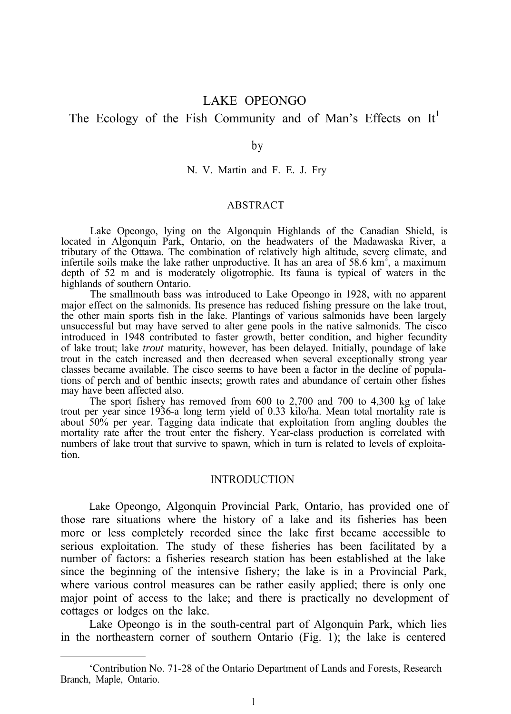# LAKE OPEONGO

# The Ecology of the Fish Community and of Man's Effects on  $It<sup>1</sup>$

by

N. V. Martin and F. E. J. Fry

#### ABSTRACT

Lake Opeongo, lying on the Algonquin Highlands of the Canadian Shield, is located in Algonquin Park, Ontario, on the headwaters of the Madawaska River, a tributary of the Ottawa. The combination of relatively high altitude, severe climate, and infertile soils make the lake rather unproductive. It has an area of 58.6  $km^2$ , a maximum depth of 52 m and is moderately oligotrophic. Its fauna is typical of waters in the highlands of southern Ontario.

The smallmouth bass was introduced to Lake Opeongo in 1928, with no apparent major effect on the salmonids. Its presence has reduced fishing pressure on the lake trout, the other main sports fish in the lake. Plantings of various salmonids have been largely unsuccessful but may have served to alter gene pools in the native salmonids. The cisco introduced in 1948 contributed to faster growth, better condition, and higher fecundity of lake trout; lake *trout* maturity, however, has been delayed. Initially, poundage of lake trout in the catch increased and then decreased when several exceptionally strong year classes became available. The cisco seems to have been a factor in the decline of populations of perch and of benthic insects; growth rates and abundance of certain other fishes may have been affected also.

The sport fishery has removed from 600 to 2,700 and 700 to 4,300 kg of lake trout per year since 1936-a long term yield of 0.33 kilo/ha. Mean total mortality rate is about 50% per year. Tagging data indicate that exploitation from angling doubles the mortality rate after the trout enter the fishery. Year-class production is correlated with numbers of lake trout that survive to spawn, which in turn is related to levels of exploitation.

#### INTRODUCTION

Lake Opeongo, Algonquin Provincial Park, Ontario, has provided one of those rare situations where the history of a lake and its fisheries has been more or less completely recorded since the lake first became accessible to serious exploitation. The study of these fisheries has been facilitated by a number of factors: a fisheries research station has been established at the lake since the beginning of the intensive fishery; the lake is in a Provincial Park, where various control measures can be rather easily applied; there is only one major point of access to the lake; and there is practically no development of cottages or lodges on the lake.

Lake Opeongo is in the south-central part of Algonquin Park, which lies in the northeastern corner of southern Ontario (Fig. 1); the lake is centered

<sup>&#</sup>x27;Contribution No. 71-28 of the Ontario Department of Lands and Forests, Research Branch, Maple, Ontario.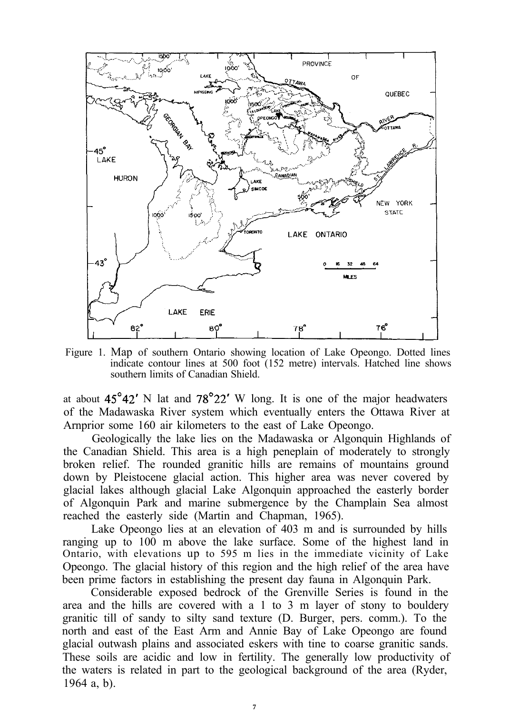

Figure 1. Map of southern Ontario showing location of Lake Opeongo. Dotted lines indicate contour lines at 500 foot (152 metre) intervals. Hatched line shows southern limits of Canadian Shield.

at about  $45^{\circ}42'$  N lat and  $78^{\circ}22'$  W long. It is one of the major headwaters of the Madawaska River system which eventually enters the Ottawa River at Arnprior some 160 air kilometers to the east of Lake Opeongo.

Geologically the lake lies on the Madawaska or Algonquin Highlands of the Canadian Shield. This area is a high peneplain of moderately to strongly broken relief. The rounded granitic hills are remains of mountains ground down by Pleistocene glacial action. This higher area was never covered by glacial lakes although glacial Lake Algonquin approached the easterly border of Algonquin Park and marine submergence by the Champlain Sea almost reached the easterly side (Martin and Chapman, 1965).

Lake Opeongo lies at an elevation of 403 m and is surrounded by hills ranging up to 100 m above the lake surface. Some of the highest land in Ontario, with elevations up to 595 m lies in the immediate vicinity of Lake Opeongo. The glacial history of this region and the high relief of the area have been prime factors in establishing the present day fauna in Algonquin Park.

Considerable exposed bedrock of the Grenville Series is found in the area and the hills are covered with a 1 to 3 m layer of stony to bouldery granitic till of sandy to silty sand texture (D. Burger, pers. comm.). To the north and east of the East Arm and Annie Bay of Lake Opeongo are found glacial outwash plains and associated eskers with tine to coarse granitic sands. These soils are acidic and low in fertility. The generally low productivity of the waters is related in part to the geological background of the area (Ryder, 1964 a, b).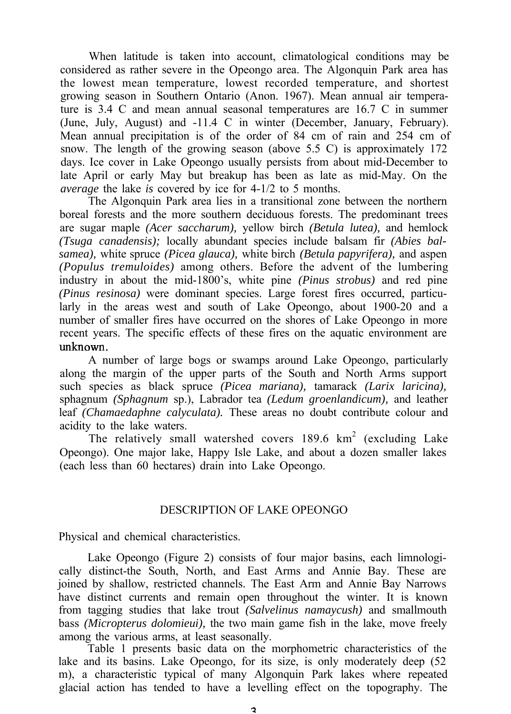When latitude is taken into account, climatological conditions may be considered as rather severe in the Opeongo area. The Algonquin Park area has the lowest mean temperature, lowest recorded temperature, and shortest growing season in Southern Ontario (Anon. 1967). Mean annual air temperature is 3.4 C and mean annual seasonal temperatures are 16.7 C in summer (June, July, August) and -11.4 C in winter (December, January, February). Mean annual precipitation is of the order of 84 cm of rain and 254 cm of snow. The length of the growing season (above 5.5 C) is approximately 172 days. Ice cover in Lake Opeongo usually persists from about mid-December to late April or early May but breakup has been as late as mid-May. On the *average* the lake *is* covered by ice for 4-1/2 to 5 months.

The Algonquin Park area lies in a transitional zone between the northern boreal forests and the more southern deciduous forests. The predominant trees are sugar maple *(Acer saccharum),* yellow birch *(Betula lutea),* and hemlock *(Tsuga canadensis);* locally abundant species include balsam fir *(Abies balsamea),* white spruce *(Picea glauca),* white birch *(Betula papyrifera),* and aspen *(Populus tremuloides)* among others. Before the advent of the lumbering industry in about the mid-1800's, white pine *(Pinus strobus)* and red pine *(Pinus resinosa)* were dominant species. Large forest fires occurred, particularly in the areas west and south of Lake Opeongo, about 1900-20 and a number of smaller fires have occurred on the shores of Lake Opeongo in more recent years. The specific effects of these fires on the aquatic environment are unknown.

A number of large bogs or swamps around Lake Opeongo, particularly along the margin of the upper parts of the South and North Arms support such species as black spruce *(Picea mariana),* tamarack *(Larix laricina),* sphagnum *(Sphagnum* sp.), Labrador tea *(Ledum groenlandicum),* and leather leaf *(Chamaedaphne calyculata).* These areas no doubt contribute colour and acidity to the lake waters.

The relatively small watershed covers  $189.6 \text{ km}^2$  (excluding Lake Opeongo). One major lake, Happy Isle Lake, and about a dozen smaller lakes (each less than 60 hectares) drain into Lake Opeongo.

#### DESCRIPTION OF LAKE OPEONGO

Physical and chemical characteristics.

Lake Opeongo (Figure 2) consists of four major basins, each limnologically distinct-the South, North, and East Arms and Annie Bay. These are joined by shallow, restricted channels. The East Arm and Annie Bay Narrows have distinct currents and remain open throughout the winter. It is known from tagging studies that lake trout *(Salvelinus namaycush)* and smallmouth bass *(Micropterus dolomieui),* the two main game fish in the lake, move freely among the various arms, at least seasonally.

Table 1 presents basic data on the morphometric characteristics of the lake and its basins. Lake Opeongo, for its size, is only moderately deep (52 m), a characteristic typical of many Algonquin Park lakes where repeated glacial action has tended to have a levelling effect on the topography. The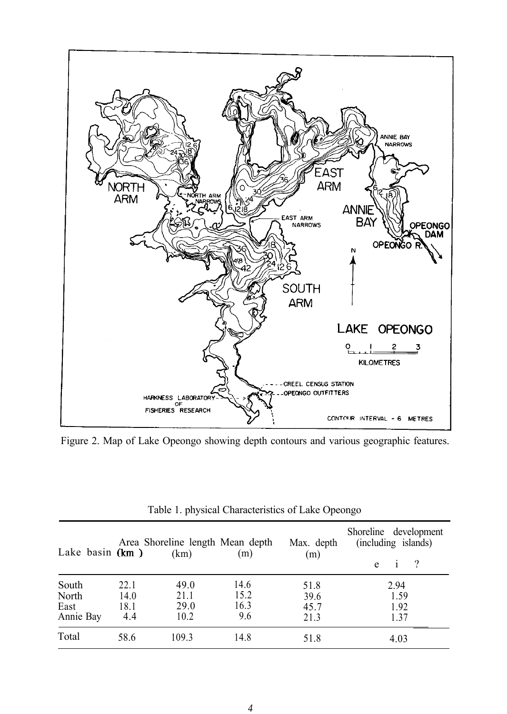

Figure 2. Map of Lake Opeongo showing depth contours and various geographic features.

| Lake basin $(km)$ |      | Area Shoreline length Mean depth<br>(km) | (m)  | Max. depth<br>(m) | Shoreline development<br>(including islands)<br>$\gamma$<br>e |
|-------------------|------|------------------------------------------|------|-------------------|---------------------------------------------------------------|
| South             | 22.1 | 49.0                                     | 14.6 | 51.8              | 2.94                                                          |
| North             | 14.0 | 21.1                                     | 15.2 | 39.6              | 1.59                                                          |
| East              | 18.1 | 29.0                                     | 16.3 | 45.7              | 1.92                                                          |
| Annie Bay         | 4.4  | 10.2                                     | 9.6  | 21.3              | 1.37                                                          |
| Total             | 58.6 | 109.3                                    | 14.8 | 51.8              | 4.03                                                          |

|  | Table 1. physical Characteristics of Lake Opeongo |  |
|--|---------------------------------------------------|--|
|  |                                                   |  |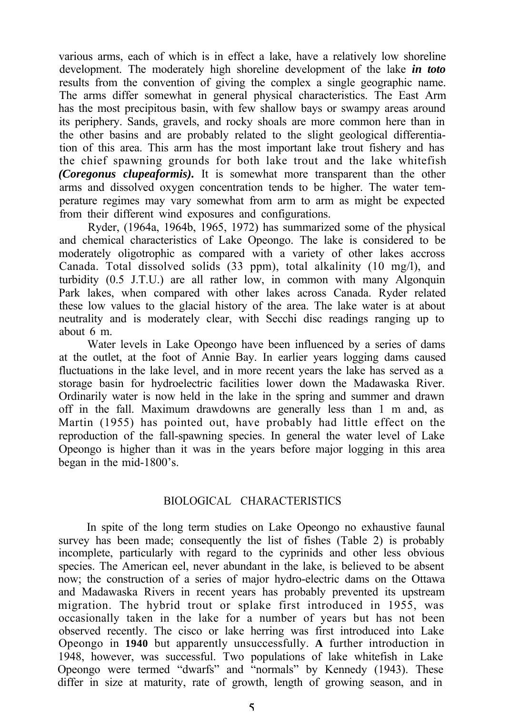various arms, each of which is in effect a lake, have a relatively low shoreline development. The moderately high shoreline development of the lake *in toto* results from the convention of giving the complex a single geographic name. The arms differ somewhat in general physical characteristics. The East Arm has the most precipitous basin, with few shallow bays or swampy areas around its periphery. Sands, gravels, and rocky shoals are more common here than in the other basins and are probably related to the slight geological differentiation of this area. This arm has the most important lake trout fishery and has the chief spawning grounds for both lake trout and the lake whitefish *(Coregonus clupeaformis).* It is somewhat more transparent than the other arms and dissolved oxygen concentration tends to be higher. The water temperature regimes may vary somewhat from arm to arm as might be expected from their different wind exposures and configurations.

Ryder, (1964a, 1964b, 1965, 1972) has summarized some of the physical and chemical characteristics of Lake Opeongo. The lake is considered to be moderately oligotrophic as compared with a variety of other lakes accross Canada. Total dissolved solids (33 ppm), total alkalinity (10 mg/l), and turbidity (0.5 J.T.U.) are all rather low, in common with many Algonquin Park lakes, when compared with other lakes across Canada. Ryder related these low values to the glacial history of the area. The lake water is at about neutrality and is moderately clear, with Secchi disc readings ranging up to about 6 m.

Water levels in Lake Opeongo have been influenced by a series of dams at the outlet, at the foot of Annie Bay. In earlier years logging dams caused fluctuations in the lake level, and in more recent years the lake has served as a storage basin for hydroelectric facilities lower down the Madawaska River. Ordinarily water is now held in the lake in the spring and summer and drawn off in the fall. Maximum drawdowns are generally less than 1 m and, as Martin (1955) has pointed out, have probably had little effect on the reproduction of the fall-spawning species. In general the water level of Lake Opeongo is higher than it was in the years before major logging in this area began in the mid-1800's.

#### BIOLOGICAL CHARACTERISTICS

In spite of the long term studies on Lake Opeongo no exhaustive faunal survey has been made; consequently the list of fishes (Table 2) is probably incomplete, particularly with regard to the cyprinids and other less obvious species. The American eel, never abundant in the lake, is believed to be absent now; the construction of a series of major hydro-electric dams on the Ottawa and Madawaska Rivers in recent years has probably prevented its upstream migration. The hybrid trout or splake first introduced in 1955, was occasionally taken in the lake for a number of years but has not been observed recently. The cisco or lake herring was first introduced into Lake Opeongo in **1940** but apparently unsuccessfully. **A** further introduction in 1948, however, was successful. Two populations of lake whitefish in Lake Opeongo were termed "dwarfs" and "normals" by Kennedy (1943). These differ in size at maturity, rate of growth, length of growing season, and in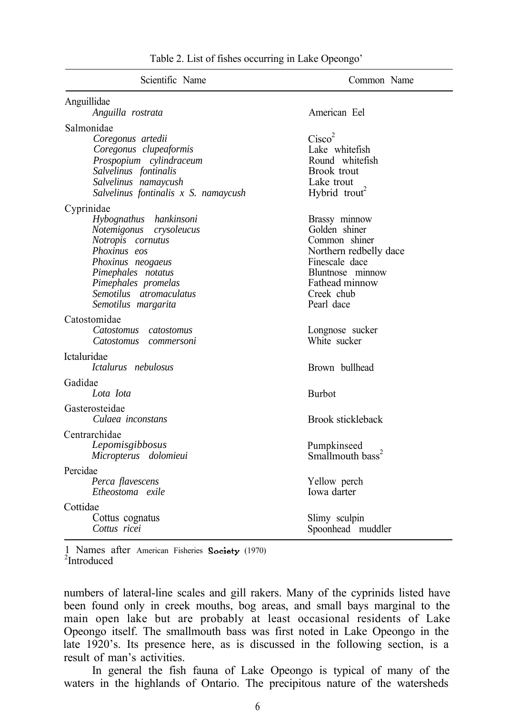| Scientific Name                                                                                                                                                                                                          | Common Name                                                                                                                                                   |
|--------------------------------------------------------------------------------------------------------------------------------------------------------------------------------------------------------------------------|---------------------------------------------------------------------------------------------------------------------------------------------------------------|
| Anguillidae                                                                                                                                                                                                              | American Fel                                                                                                                                                  |
| Anguilla rostrata                                                                                                                                                                                                        |                                                                                                                                                               |
| Salmonidae<br>Coregonus artedii<br>Coregonus clupeaformis<br>Prospopium cylindraceum<br>Salvelinus fontinalis<br>Salvelinus namaycush<br>Salvelinus fontinalis x S. namaycush                                            | Cisco <sup>2</sup><br>Lake whitefish<br>Round whitefish<br>Brook trout<br>Lake trout<br>Hybrid trout <sup>2</sup>                                             |
| Cyprinidae<br>Hybognathus hankinsoni<br>Notemigonus crysoleucus<br>Notropis cornutus<br>Phoxinus eos<br>Phoxinus neogaeus<br>Pimephales notatus<br>Pimephales promelas<br>Semotilus atromaculatus<br>Semotilus margarita | Brassy minnow<br>Golden shiner<br>Common shiner<br>Northern redbelly dace<br>Finescale dace<br>Bluntnose minnow<br>Fathead minnow<br>Creek chub<br>Pearl dace |
| Catostomidae<br>Catostomus catostomus<br>Catostomus commersoni                                                                                                                                                           | Longnose sucker<br>White sucker                                                                                                                               |
| Ictaluridae<br>Ictalurus nebulosus                                                                                                                                                                                       | Brown bullhead                                                                                                                                                |
| Gadidae<br>Lota Iota                                                                                                                                                                                                     | <b>Burbot</b>                                                                                                                                                 |
| Gasterosteidae<br>Culaea inconstans                                                                                                                                                                                      | Brook stickleback                                                                                                                                             |
| Centrarchidae<br>Lepomisgibbosus<br>Micropterus dolomieui                                                                                                                                                                | Pumpkinseed<br>Smallmouth bass <sup>2</sup>                                                                                                                   |
| Percidae<br>Perca flavescens<br>Etheostoma exile                                                                                                                                                                         | Yellow perch<br>Iowa darter                                                                                                                                   |
| Cottidae<br>Cottus cognatus<br>Cottus ricei                                                                                                                                                                              | Slimy sculpin<br>Spoonhead muddler                                                                                                                            |

Table 2. List of fishes occurring in Lake Opeongo'

1 Names after American Fisheries Society (1970)  $2$ Introduced

numbers of lateral-line scales and gill rakers. Many of the cyprinids listed have been found only in creek mouths, bog areas, and small bays marginal to the main open lake but are probably at least occasional residents of Lake Opeongo itself. The smallmouth bass was first noted in Lake Opeongo in the late 1920's. Its presence here, as is discussed in the following section, is a result of man's activities.

In general the fish fauna of Lake Opeongo is typical of many of the waters in the highlands of Ontario. The precipitous nature of the watersheds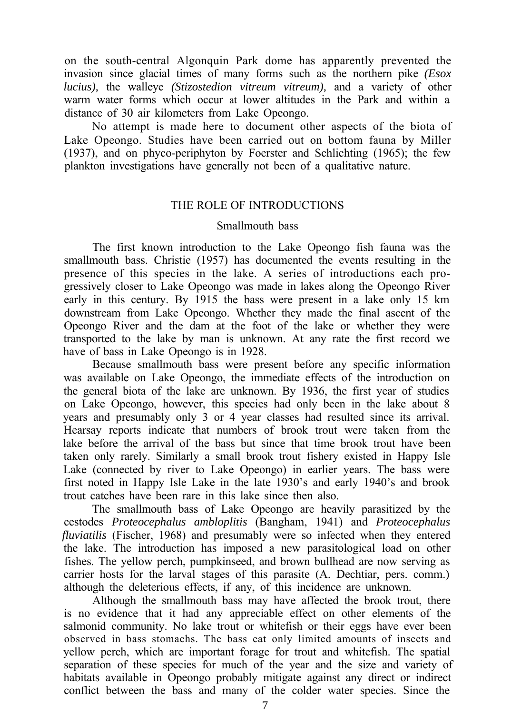on the south-central Algonquin Park dome has apparently prevented the invasion since glacial times of many forms such as the northern pike *(Esox lucius),* the walleye *(Stizostedion vitreum vitreum),* and a variety of other warm water forms which occur at lower altitudes in the Park and within a distance of 30 air kilometers from Lake Opeongo.

No attempt is made here to document other aspects of the biota of Lake Opeongo. Studies have been carried out on bottom fauna by Miller (1937), and on phyco-periphyton by Foerster and Schlichting (1965); the few plankton investigations have generally not been of a qualitative nature.

#### THE ROLE OF INTRODUCTIONS

#### Smallmouth bass

The first known introduction to the Lake Opeongo fish fauna was the smallmouth bass. Christie (1957) has documented the events resulting in the presence of this species in the lake. A series of introductions each progressively closer to Lake Opeongo was made in lakes along the Opeongo River early in this century. By 1915 the bass were present in a lake only 15 km downstream from Lake Opeongo. Whether they made the final ascent of the Opeongo River and the dam at the foot of the lake or whether they were transported to the lake by man is unknown. At any rate the first record we have of bass in Lake Opeongo is in 1928.

Because smallmouth bass were present before any specific information was available on Lake Opeongo, the immediate effects of the introduction on the general biota of the lake are unknown. By 1936, the first year of studies on Lake Opeongo, however, this species had only been in the lake about 8 years and presumably only 3 or 4 year classes had resulted since its arrival. Hearsay reports indicate that numbers of brook trout were taken from the lake before the arrival of the bass but since that time brook trout have been taken only rarely. Similarly a small brook trout fishery existed in Happy Isle Lake (connected by river to Lake Opeongo) in earlier years. The bass were first noted in Happy Isle Lake in the late 1930's and early 1940's and brook trout catches have been rare in this lake since then also.

The smallmouth bass of Lake Opeongo are heavily parasitized by the cestodes *Proteocephalus ambloplitis* (Bangham, 1941) and *Proteocephalus fluviatilis* (Fischer, 1968) and presumably were so infected when they entered the lake. The introduction has imposed a new parasitological load on other fishes. The yellow perch, pumpkinseed, and brown bullhead are now serving as carrier hosts for the larval stages of this parasite (A. Dechtiar, pers. comm.) although the deleterious effects, if any, of this incidence are unknown.

Although the smallmouth bass may have affected the brook trout, there is no evidence that it had any appreciable effect on other elements of the salmonid community. No lake trout or whitefish or their eggs have ever been observed in bass stomachs. The bass eat only limited amounts of insects and yellow perch, which are important forage for trout and whitefish. The spatial separation of these species for much of the year and the size and variety of habitats available in Opeongo probably mitigate against any direct or indirect conflict between the bass and many of the colder water species. Since the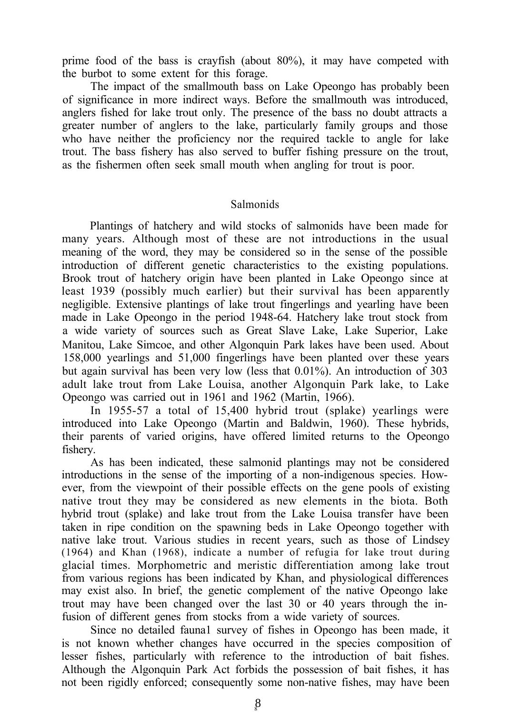prime food of the bass is crayfish (about 80%), it may have competed with the burbot to some extent for this forage.

The impact of the smallmouth bass on Lake Opeongo has probably been of significance in more indirect ways. Before the smallmouth was introduced, anglers fished for lake trout only. The presence of the bass no doubt attracts a greater number of anglers to the lake, particularly family groups and those who have neither the proficiency nor the required tackle to angle for lake trout. The bass fishery has also served to buffer fishing pressure on the trout, as the fishermen often seek small mouth when angling for trout is poor.

#### Salmonids

Plantings of hatchery and wild stocks of salmonids have been made for many years. Although most of these are not introductions in the usual meaning of the word, they may be considered so in the sense of the possible introduction of different genetic characteristics to the existing populations. Brook trout of hatchery origin have been planted in Lake Opeongo since at least 1939 (possibly much earlier) but their survival has been apparently negligible. Extensive plantings of lake trout fingerlings and yearling have been made in Lake Opeongo in the period 1948-64. Hatchery lake trout stock from a wide variety of sources such as Great Slave Lake, Lake Superior, Lake Manitou, Lake Simcoe, and other Algonquin Park lakes have been used. About 158,000 yearlings and 51,000 fingerlings have been planted over these years but again survival has been very low (less that 0.01%). An introduction of 303 adult lake trout from Lake Louisa, another Algonquin Park lake, to Lake Opeongo was carried out in 1961 and 1962 (Martin, 1966).

In 1955-57 a total of 15,400 hybrid trout (splake) yearlings were introduced into Lake Opeongo (Martin and Baldwin, 1960). These hybrids, their parents of varied origins, have offered limited returns to the Opeongo fishery.

As has been indicated, these salmonid plantings may not be considered introductions in the sense of the importing of a non-indigenous species. However, from the viewpoint of their possible effects on the gene pools of existing native trout they may be considered as new elements in the biota. Both hybrid trout (splake) and lake trout from the Lake Louisa transfer have been taken in ripe condition on the spawning beds in Lake Opeongo together with native lake trout. Various studies in recent years, such as those of Lindsey (1964) and Khan (1968), indicate a number of refugia for lake trout during glacial times. Morphometric and meristic differentiation among lake trout from various regions has been indicated by Khan, and physiological differences may exist also. In brief, the genetic complement of the native Opeongo lake trout may have been changed over the last 30 or 40 years through the infusion of different genes from stocks from a wide variety of sources.

Since no detailed fauna1 survey of fishes in Opeongo has been made, it is not known whether changes have occurred in the species composition of lesser fishes, particularly with reference to the introduction of bait fishes. Although the Algonquin Park Act forbids the possession of bait fishes, it has not been rigidly enforced; consequently some non-native fishes, may have been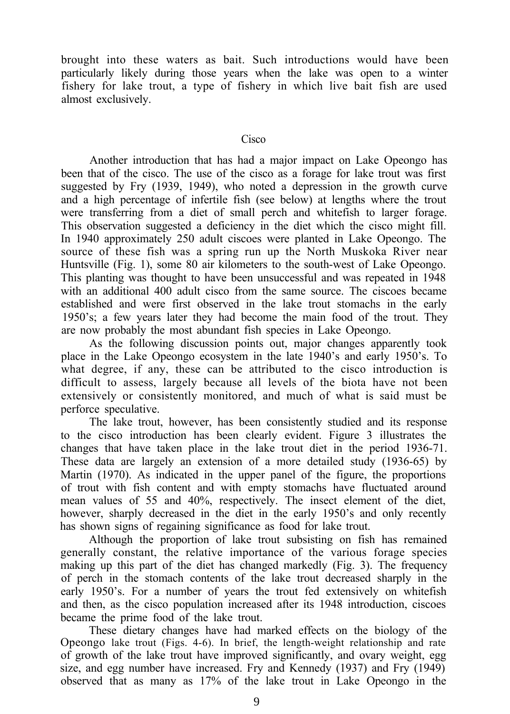brought into these waters as bait. Such introductions would have been particularly likely during those years when the lake was open to a winter fishery for lake trout, a type of fishery in which live bait fish are used almost exclusively.

#### Cisco

Another introduction that has had a major impact on Lake Opeongo has been that of the cisco. The use of the cisco as a forage for lake trout was first suggested by Fry (1939, 1949), who noted a depression in the growth curve and a high percentage of infertile fish (see below) at lengths where the trout were transferring from a diet of small perch and whitefish to larger forage. This observation suggested a deficiency in the diet which the cisco might fill. In 1940 approximately 250 adult ciscoes were planted in Lake Opeongo. The source of these fish was a spring run up the North Muskoka River near Huntsville (Fig. 1), some 80 air kilometers to the south-west of Lake Opeongo. This planting was thought to have been unsuccessful and was repeated in 1948 with an additional 400 adult cisco from the same source. The ciscoes became established and were first observed in the lake trout stomachs in the early 1950's; a few years later they had become the main food of the trout. They are now probably the most abundant fish species in Lake Opeongo.

As the following discussion points out, major changes apparently took place in the Lake Opeongo ecosystem in the late 1940's and early 1950's. To what degree, if any, these can be attributed to the cisco introduction is difficult to assess, largely because all levels of the biota have not been extensively or consistently monitored, and much of what is said must be perforce speculative.

The lake trout, however, has been consistently studied and its response to the cisco introduction has been clearly evident. Figure 3 illustrates the changes that have taken place in the lake trout diet in the period 1936-71. These data are largely an extension of a more detailed study (1936-65) by Martin (1970). As indicated in the upper panel of the figure, the proportions of trout with fish content and with empty stomachs have fluctuated around mean values of 55 and 40%, respectively. The insect element of the diet, however, sharply decreased in the diet in the early 1950's and only recently has shown signs of regaining significance as food for lake trout.

Although the proportion of lake trout subsisting on fish has remained generally constant, the relative importance of the various forage species making up this part of the diet has changed markedly (Fig. 3). The frequency of perch in the stomach contents of the lake trout decreased sharply in the early 1950's. For a number of years the trout fed extensively on whitefish and then, as the cisco population increased after its 1948 introduction, ciscoes became the prime food of the lake trout.

These dietary changes have had marked effects on the biology of the Opeongo lake trout (Figs. 4-6). In brief, the length-weight relationship and rate of growth of the lake trout have improved significantly, and ovary weight, egg size, and egg number have increased. Fry and Kennedy (1937) and Fry (1949) observed that as many as 17% of the lake trout in Lake Opeongo in the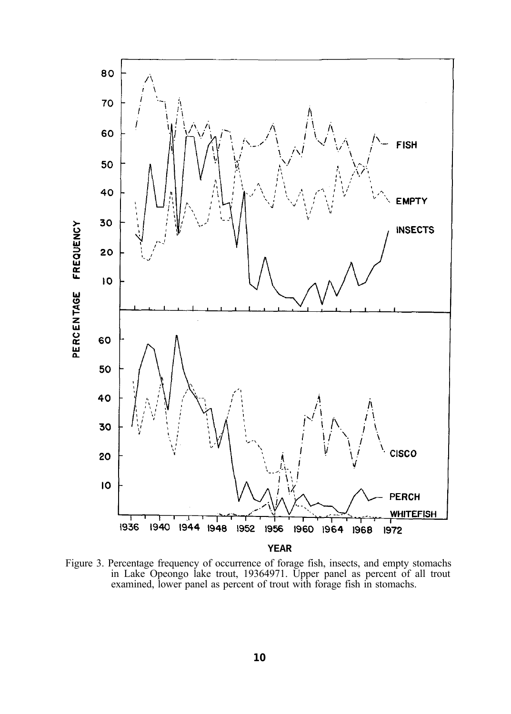

Figure 3. Percentage frequency of occurrence of forage fish, insects, and empty stomachs in Lake Opeongo lake trout, 19364971. Upper panel as percent of all trout examined, lower panel as percent of trout with forage fish in stomachs.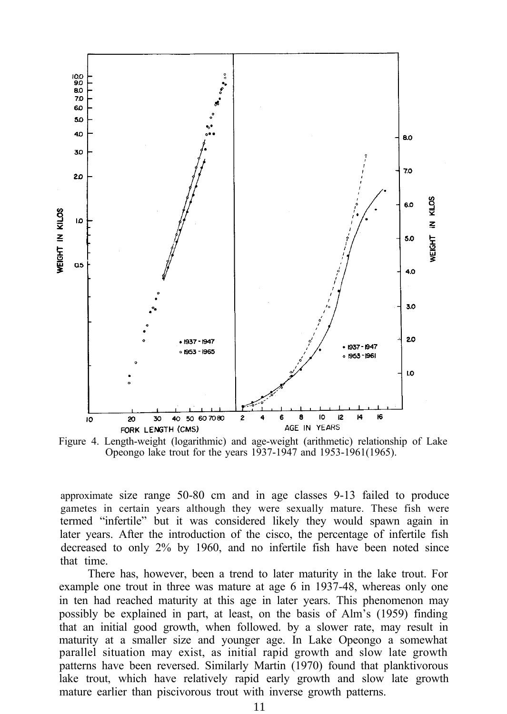

Figure 4. Length-weight (logarithmic) and age-weight (arithmetic) relationship of Lake Opeongo lake trout for the years 1937-1947 and 1953-1961(1965).

approximate size range 50-80 cm and in age classes 9-13 failed to produce gametes in certain years although they were sexually mature. These fish were termed "infertile" but it was considered likely they would spawn again in later years. After the introduction of the cisco, the percentage of infertile fish decreased to only 2% by 1960, and no infertile fish have been noted since that time.

There has, however, been a trend to later maturity in the lake trout. For example one trout in three was mature at age 6 in 1937-48, whereas only one in ten had reached maturity at this age in later years. This phenomenon may possibly be explained in part, at least, on the basis of Alm's (1959) finding that an initial good growth, when followed. by a slower rate, may result in maturity at a smaller size and younger age. In Lake Opeongo a somewhat parallel situation may exist, as initial rapid growth and slow late growth patterns have been reversed. Similarly Martin (1970) found that planktivorous lake trout, which have relatively rapid early growth and slow late growth mature earlier than piscivorous trout with inverse growth patterns.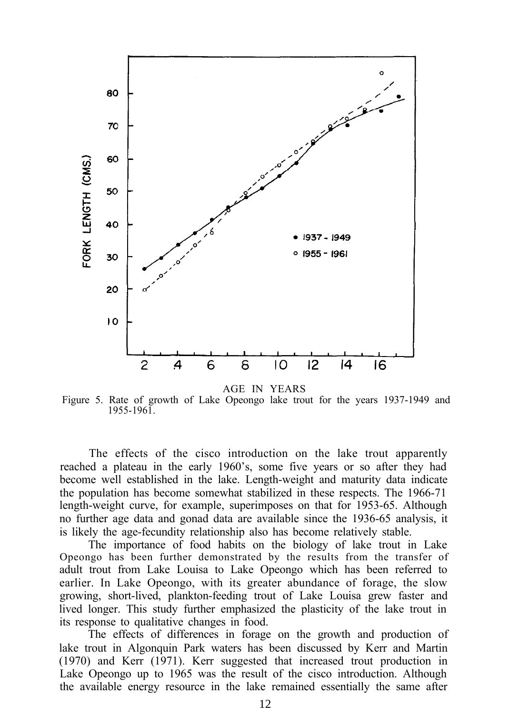

AGE IN YEARS

Figure 5. Rate of growth of Lake Opeongo lake trout for the years 1937-1949 and 1955-1961.

The effects of the cisco introduction on the lake trout apparently reached a plateau in the early 1960's, some five years or so after they had become well established in the lake. Length-weight and maturity data indicate the population has become somewhat stabilized in these respects. The 1966-71 length-weight curve, for example, superimposes on that for 1953-65. Although no further age data and gonad data are available since the 1936-65 analysis, it is likely the age-fecundity relationship also has become relatively stable.

The importance of food habits on the biology of lake trout in Lake Opeongo has been further demonstrated by the results from the transfer of adult trout from Lake Louisa to Lake Opeongo which has been referred to earlier. In Lake Opeongo, with its greater abundance of forage, the slow growing, short-lived, plankton-feeding trout of Lake Louisa grew faster and lived longer. This study further emphasized the plasticity of the lake trout in its response to qualitative changes in food.

The effects of differences in forage on the growth and production of lake trout in Algonquin Park waters has been discussed by Kerr and Martin (1970) and Kerr (1971). Kerr suggested that increased trout production in Lake Opeongo up to 1965 was the result of the cisco introduction. Although the available energy resource in the lake remained essentially the same after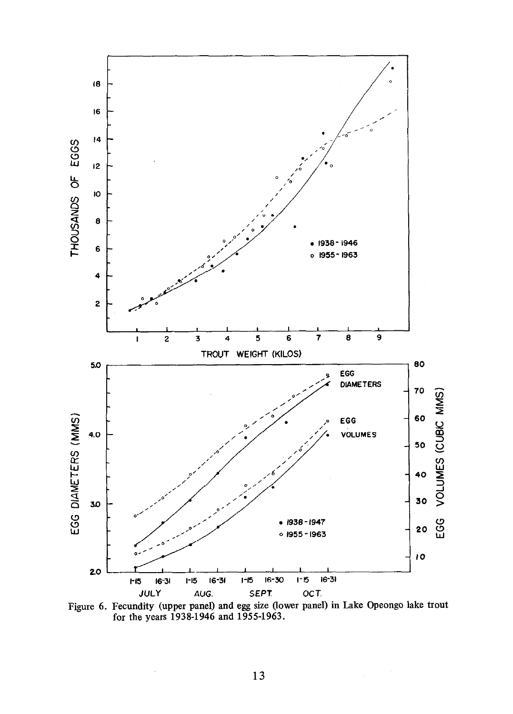

Figure 6. Fecundity (upper panel) and egg size (lower panel) in Lake Opeongo lake trout for the years 1938-1946 and 1955-1963.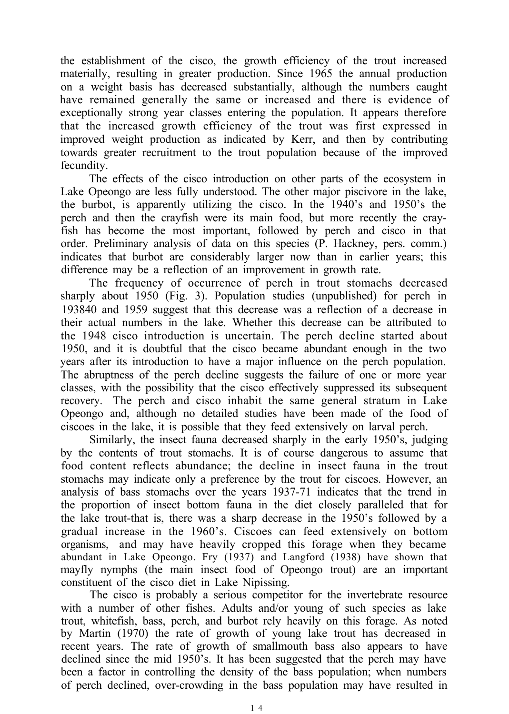the establishment of the cisco, the growth efficiency of the trout increased materially, resulting in greater production. Since 1965 the annual production on a weight basis has decreased substantially, although the numbers caught have remained generally the same or increased and there is evidence of exceptionally strong year classes entering the population. It appears therefore that the increased growth efficiency of the trout was first expressed in improved weight production as indicated by Kerr, and then by contributing towards greater recruitment to the trout population because of the improved fecundity.

The effects of the cisco introduction on other parts of the ecosystem in Lake Opeongo are less fully understood. The other major piscivore in the lake, the burbot, is apparently utilizing the cisco. In the 1940's and 1950's the perch and then the crayfish were its main food, but more recently the crayfish has become the most important, followed by perch and cisco in that order. Preliminary analysis of data on this species (P. Hackney, pers. comm.) indicates that burbot are considerably larger now than in earlier years; this difference may be a reflection of an improvement in growth rate.

The frequency of occurrence of perch in trout stomachs decreased sharply about 1950 (Fig. 3). Population studies (unpublished) for perch in 193840 and 1959 suggest that this decrease was a reflection of a decrease in their actual numbers in the lake. Whether this decrease can be attributed to the 1948 cisco introduction is uncertain. The perch decline started about 1950, and it is doubtful that the cisco became abundant enough in the two years after its introduction to have a major influence on the perch population. The abruptness of the perch decline suggests the failure of one or more year classes, with the possibility that the cisco effectively suppressed its subsequent recovery. The perch and cisco inhabit the same general stratum in Lake Opeongo and, although no detailed studies have been made of the food of ciscoes in the lake, it is possible that they feed extensively on larval perch.

Similarly, the insect fauna decreased sharply in the early 1950's, judging by the contents of trout stomachs. It is of course dangerous to assume that food content reflects abundance; the decline in insect fauna in the trout stomachs may indicate only a preference by the trout for ciscoes. However, an analysis of bass stomachs over the years 1937-71 indicates that the trend in the proportion of insect bottom fauna in the diet closely paralleled that for the lake trout-that is, there was a sharp decrease in the 1950's followed by a gradual increase in the 1960's. Ciscoes can feed extensively on bottom organisms, and may have heavily cropped this forage when they became abundant in Lake Opeongo. Fry (1937) and Langford (1938) have shown that mayfly nymphs (the main insect food of Opeongo trout) are an important constituent of the cisco diet in Lake Nipissing.

The cisco is probably a serious competitor for the invertebrate resource with a number of other fishes. Adults and/or young of such species as lake trout, whitefish, bass, perch, and burbot rely heavily on this forage. As noted by Martin (1970) the rate of growth of young lake trout has decreased in recent years. The rate of growth of smallmouth bass also appears to have declined since the mid 1950's. It has been suggested that the perch may have been a factor in controlling the density of the bass population; when numbers of perch declined, over-crowding in the bass population may have resulted in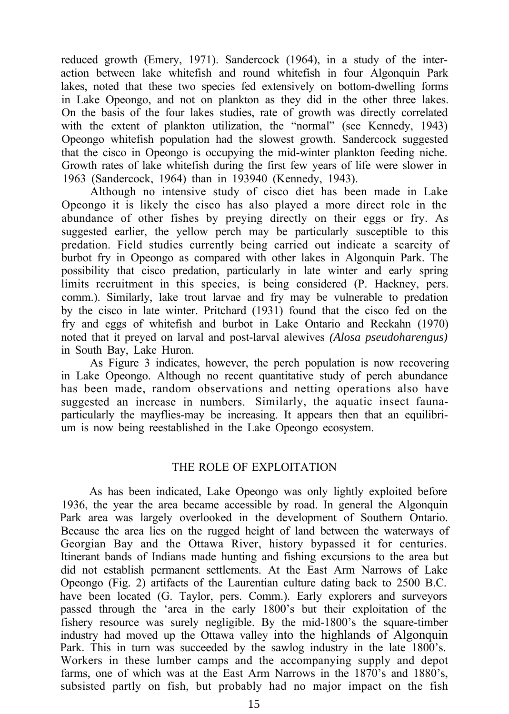reduced growth (Emery, 1971). Sandercock (1964), in a study of the interaction between lake whitefish and round whitefish in four Algonquin Park lakes, noted that these two species fed extensively on bottom-dwelling forms in Lake Opeongo, and not on plankton as they did in the other three lakes. On the basis of the four lakes studies, rate of growth was directly correlated with the extent of plankton utilization, the "normal" (see Kennedy, 1943) Opeongo whitefish population had the slowest growth. Sandercock suggested that the cisco in Opeongo is occupying the mid-winter plankton feeding niche. Growth rates of lake whitefish during the first few years of life were slower in 1963 (Sandercock, 1964) than in 193940 (Kennedy, 1943).

Although no intensive study of cisco diet has been made in Lake Opeongo it is likely the cisco has also played a more direct role in the abundance of other fishes by preying directly on their eggs or fry. As suggested earlier, the yellow perch may be particularly susceptible to this predation. Field studies currently being carried out indicate a scarcity of burbot fry in Opeongo as compared with other lakes in Algonquin Park. The possibility that cisco predation, particularly in late winter and early spring limits recruitment in this species, is being considered (P. Hackney, pers. comm.). Similarly, lake trout larvae and fry may be vulnerable to predation by the cisco in late winter. Pritchard (1931) found that the cisco fed on the fry and eggs of whitefish and burbot in Lake Ontario and Reckahn (1970) noted that it preyed on larval and post-larval alewives *(Alosa pseudoharengus)* in South Bay, Lake Huron.

As Figure 3 indicates, however, the perch population is now recovering in Lake Opeongo. Although no recent quantitative study of perch abundance has been made, random observations and netting operations also have suggested an increase in numbers. Similarly, the aquatic insect faunaparticularly the mayflies-may be increasing. It appears then that an equilibrium is now being reestablished in the Lake Opeongo ecosystem.

#### THE ROLE OF EXPLOITATION

As has been indicated, Lake Opeongo was only lightly exploited before 1936, the year the area became accessible by road. In general the Algonquin Park area was largely overlooked in the development of Southern Ontario. Because the area lies on the rugged height of land between the waterways of Georgian Bay and the Ottawa River, history bypassed it for centuries. Itinerant bands of Indians made hunting and fishing excursions to the area but did not establish permanent settlements. At the East Arm Narrows of Lake Opeongo (Fig. 2) artifacts of the Laurentian culture dating back to 2500 B.C. have been located (G. Taylor, pers. Comm.). Early explorers and surveyors passed through the 'area in the early 1800's but their exploitation of the fishery resource was surely negligible. By the mid-1800's the square-timber industry had moved up the Ottawa valley into the highlands of Algonquin Park. This in turn was succeeded by the sawlog industry in the late 1800's. Workers in these lumber camps and the accompanying supply and depot farms, one of which was at the East Arm Narrows in the 1870's and 1880's, subsisted partly on fish, but probably had no major impact on the fish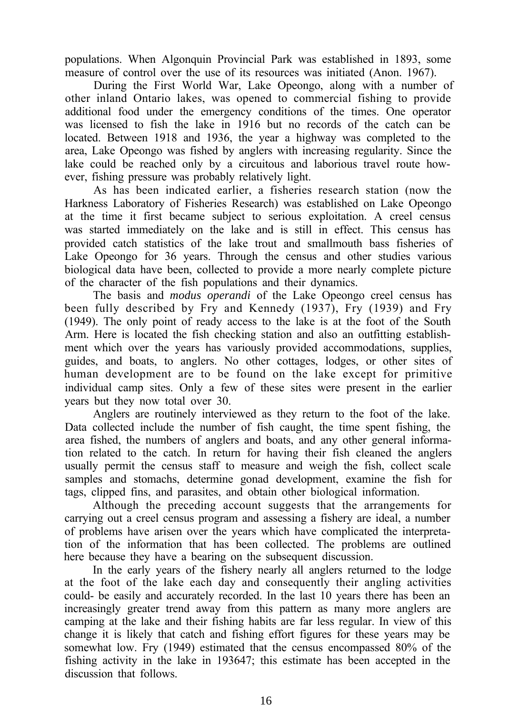populations. When Algonquin Provincial Park was established in 1893, some measure of control over the use of its resources was initiated (Anon. 1967).

During the First World War, Lake Opeongo, along with a number of other inland Ontario lakes, was opened to commercial fishing to provide additional food under the emergency conditions of the times. One operator was licensed to fish the lake in 1916 but no records of the catch can be located. Between 1918 and 1936, the year a highway was completed to the area, Lake Opeongo was fished by anglers with increasing regularity. Since the lake could be reached only by a circuitous and laborious travel route however, fishing pressure was probably relatively light.

As has been indicated earlier, a fisheries research station (now the Harkness Laboratory of Fisheries Research) was established on Lake Opeongo at the time it first became subject to serious exploitation. A creel census was started immediately on the lake and is still in effect. This census has provided catch statistics of the lake trout and smallmouth bass fisheries of Lake Opeongo for 36 years. Through the census and other studies various biological data have been, collected to provide a more nearly complete picture of the character of the fish populations and their dynamics.

The basis and *modus operandi* of the Lake Opeongo creel census has been fully described by Fry and Kennedy (1937), Fry (1939) and Fry (1949). The only point of ready access to the lake is at the foot of the South Arm. Here is located the fish checking station and also an outfitting establishment which over the years has variously provided accommodations, supplies, guides, and boats, to anglers. No other cottages, lodges, or other sites of human development are to be found on the lake except for primitive individual camp sites. Only a few of these sites were present in the earlier years but they now total over 30.

Anglers are routinely interviewed as they return to the foot of the lake. Data collected include the number of fish caught, the time spent fishing, the area fished, the numbers of anglers and boats, and any other general information related to the catch. In return for having their fish cleaned the anglers usually permit the census staff to measure and weigh the fish, collect scale samples and stomachs, determine gonad development, examine the fish for tags, clipped fins, and parasites, and obtain other biological information.

Although the preceding account suggests that the arrangements for carrying out a creel census program and assessing a fishery are ideal, a number of problems have arisen over the years which have complicated the interpretation of the information that has been collected. The problems are outlined here because they have a bearing on the subsequent discussion.

In the early years of the fishery nearly all anglers returned to the lodge at the foot of the lake each day and consequently their angling activities could- be easily and accurately recorded. In the last 10 years there has been an increasingly greater trend away from this pattern as many more anglers are camping at the lake and their fishing habits are far less regular. In view of this change it is likely that catch and fishing effort figures for these years may be somewhat low. Fry (1949) estimated that the census encompassed 80% of the fishing activity in the lake in 193647; this estimate has been accepted in the discussion that follows.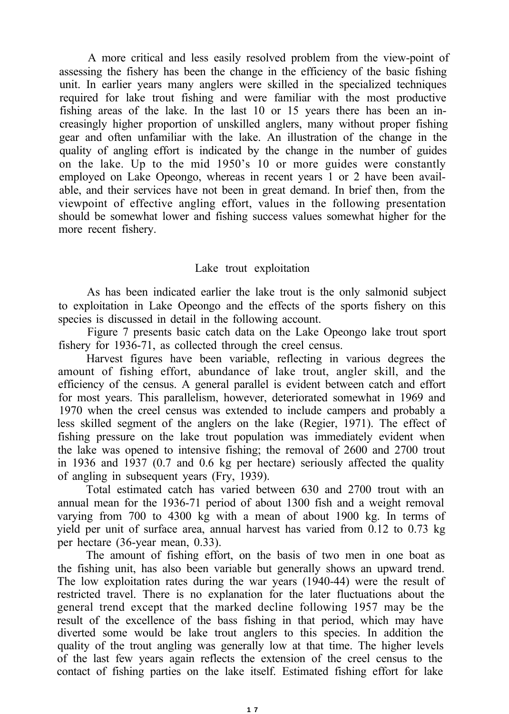A more critical and less easily resolved problem from the view-point of assessing the fishery has been the change in the efficiency of the basic fishing unit. In earlier years many anglers were skilled in the specialized techniques required for lake trout fishing and were familiar with the most productive fishing areas of the lake. In the last 10 or 15 years there has been an increasingly higher proportion of unskilled anglers, many without proper fishing gear and often unfamiliar with the lake. An illustration of the change in the quality of angling effort is indicated by the change in the number of guides on the lake. Up to the mid 1950's 10 or more guides were constantly employed on Lake Opeongo, whereas in recent years 1 or 2 have been available, and their services have not been in great demand. In brief then, from the viewpoint of effective angling effort, values in the following presentation should be somewhat lower and fishing success values somewhat higher for the more recent fishery.

#### Lake trout exploitation

As has been indicated earlier the lake trout is the only salmonid subject to exploitation in Lake Opeongo and the effects of the sports fishery on this species is discussed in detail in the following account.

Figure 7 presents basic catch data on the Lake Opeongo lake trout sport fishery for 1936-71, as collected through the creel census.

Harvest figures have been variable, reflecting in various degrees the amount of fishing effort, abundance of lake trout, angler skill, and the efficiency of the census. A general parallel is evident between catch and effort for most years. This parallelism, however, deteriorated somewhat in 1969 and 1970 when the creel census was extended to include campers and probably a less skilled segment of the anglers on the lake (Regier, 1971). The effect of fishing pressure on the lake trout population was immediately evident when the lake was opened to intensive fishing; the removal of 2600 and 2700 trout in 1936 and 1937 (0.7 and 0.6 kg per hectare) seriously affected the quality of angling in subsequent years (Fry, 1939).

Total estimated catch has varied between 630 and 2700 trout with an annual mean for the 1936-71 period of about 1300 fish and a weight removal varying from 700 to 4300 kg with a mean of about 1900 kg. In terms of yield per unit of surface area, annual harvest has varied from 0.12 to 0.73 kg per hectare (36-year mean, 0.33).

The amount of fishing effort, on the basis of two men in one boat as the fishing unit, has also been variable but generally shows an upward trend. The low exploitation rates during the war years (1940-44) were the result of restricted travel. There is no explanation for the later fluctuations about the general trend except that the marked decline following 1957 may be the result of the excellence of the bass fishing in that period, which may have diverted some would be lake trout anglers to this species. In addition the quality of the trout angling was generally low at that time. The higher levels of the last few years again reflects the extension of the creel census to the contact of fishing parties on the lake itself. Estimated fishing effort for lake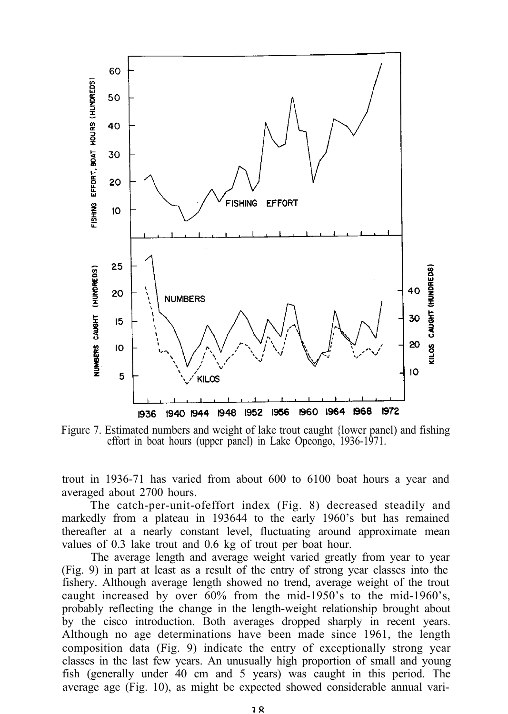

Figure 7. Estimated numbers and weight of lake trout caught {lower panel) and fishing effort in boat hours (upper panel) in Lake Opeongo, 1936-1971.

trout in 1936-71 has varied from about 600 to 6100 boat hours a year and averaged about 2700 hours.

The catch-per-unit-ofeffort index (Fig. 8) decreased steadily and markedly from a plateau in 193644 to the early 1960's but has remained thereafter at a nearly constant level, fluctuating around approximate mean values of 0.3 lake trout and 0.6 kg of trout per boat hour.

The average length and average weight varied greatly from year to year (Fig. 9) in part at least as a result of the entry of strong year classes into the fishery. Although average length showed no trend, average weight of the trout caught increased by over 60% from the mid-1950's to the mid-1960's, probably reflecting the change in the length-weight relationship brought about by the cisco introduction. Both averages dropped sharply in recent years. Although no age determinations have been made since 1961, the length composition data (Fig. 9) indicate the entry of exceptionally strong year classes in the last few years. An unusually high proportion of small and young fish (generally under 40 cm and 5 years) was caught in this period. The average age (Fig. 10), as might be expected showed considerable annual vari-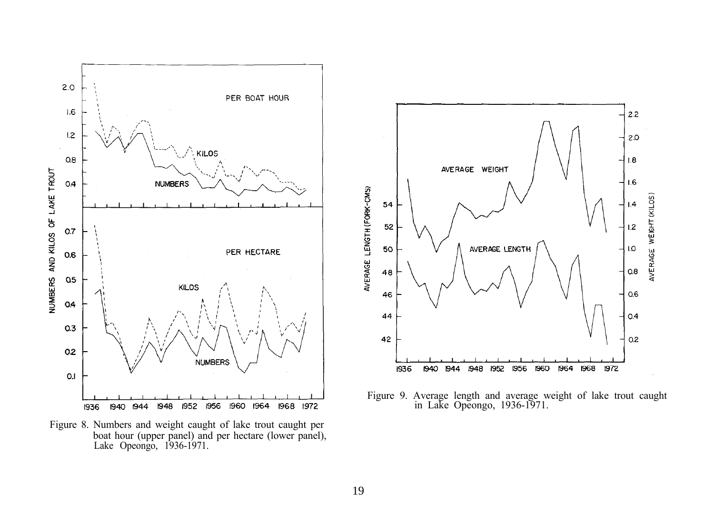

Figure 8. Numbers and weight caught of lake trout caught per boat hour (upper panel) and per hectare (lower panel), Lake Opeongo, 1936-1971.



Figure 9. Average length and average weight of lake trout caught in Lake Opeongo, 1936-1971.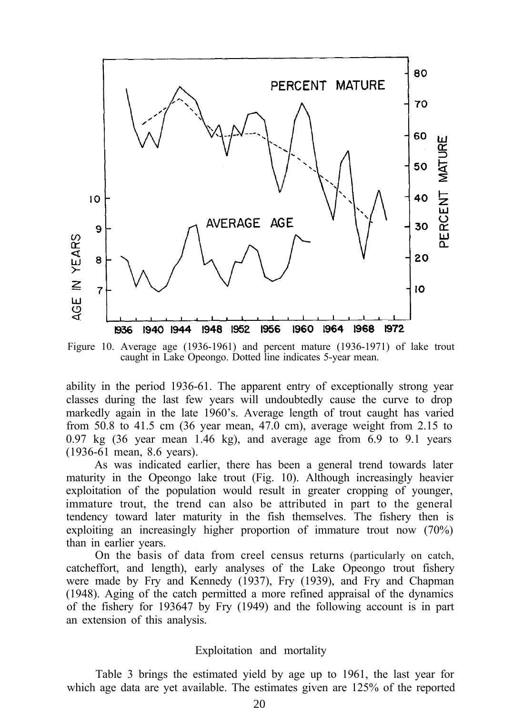

Figure 10. Average age (1936-1961) and percent mature (1936-1971) of lake trout caught in Lake Opeongo. Dotted line indicates 5-year mean.

ability in the period 1936-61. The apparent entry of exceptionally strong year classes during the last few years will undoubtedly cause the curve to drop markedly again in the late 1960's. Average length of trout caught has varied from 50.8 to 41.5 cm (36 year mean, 47.0 cm), average weight from 2.15 to  $0.97 \text{ kg}$  (36 year mean 1.46 kg), and average age from 6.9 to 9.1 years (1936-61 mean, 8.6 years).

As was indicated earlier, there has been a general trend towards later maturity in the Opeongo lake trout (Fig. 10). Although increasingly heavier exploitation of the population would result in greater cropping of younger, immature trout, the trend can also be attributed in part to the general tendency toward later maturity in the fish themselves. The fishery then is exploiting an increasingly higher proportion of immature trout now (70%) than in earlier years.

On the basis of data from creel census returns (particularly on catch, catcheffort, and length), early analyses of the Lake Opeongo trout fishery were made by Fry and Kennedy (1937), Fry (1939), and Fry and Chapman (1948). Aging of the catch permitted a more refined appraisal of the dynamics of the fishery for 193647 by Fry (1949) and the following account is in part an extension of this analysis.

#### Exploitation and mortality

Table 3 brings the estimated yield by age up to 1961, the last year for which age data are yet available. The estimates given are 125% of the reported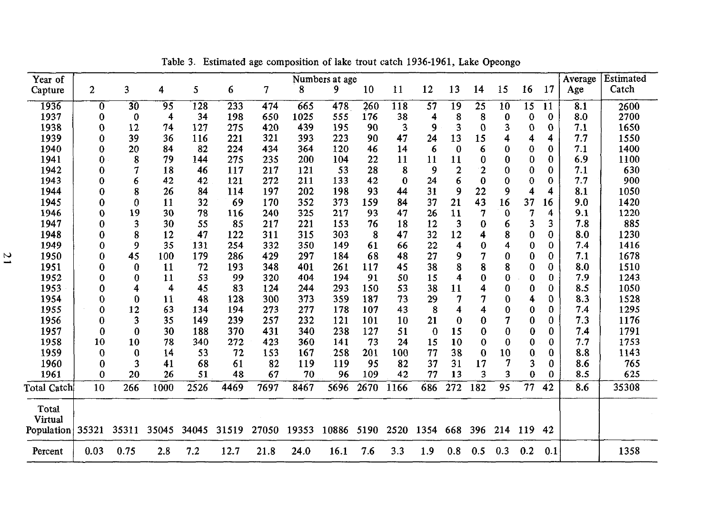| Year of<br>Capture | $\overline{c}$ | 3        | 4     | 5     | 6     | 7     | 8     | Numbers at age<br>9 | 10   | 11       | 12               | 13  | 14             | 15       | 16       | 17  | Average<br>Age | Estimated<br>Catch |
|--------------------|----------------|----------|-------|-------|-------|-------|-------|---------------------|------|----------|------------------|-----|----------------|----------|----------|-----|----------------|--------------------|
| 1936               | 0              | 30       | 95    | 128   | 233   | 474   | 665   | 478                 | 260  | 118      | 57               | 19  | 25             | 10       | 15       | 11  | 8.1            | 2600               |
| 1937               | 0              | 0        | 4     | 34    | 198   | 650   | 1025  | 555                 | 176  | 38       | 4                | 8   | 8              | 0        | 0        | 0   | 8.0            | 2700               |
| 1938               | $\bf{0}$       | 12       | 74    | 127   | 275   | 420   | 439   | 195                 | 90   | 3        | 9                | 3   | 0              | 3        | 0        | 0   | 7.1            | 1650               |
| 1939               | 0              | 39       | 36    | 116   | 221   | 321   | 393   | 223                 | 90   | 47       | 24               | 13  | 15             | 4        | 4        | 4   | 7.7            | 1550               |
| 1940               | 0              | 20       | 84    | 82    | 224   | 434   | 364   | 120                 | 46   | 14       | 6                | 0   | 6              | 0        | $\bf{0}$ | 0   | 7.1            | 1400               |
| 1941               | 0              | 8        | 79    | 144   | 275   | 235   | 200   | 104                 | 22   | 11       | 11               | 11  | 0              | 0        | 0        | 0   | 6.9            | 1100               |
| 1942               | 0              |          | 18    | 46    | 117   | 217   | 121   | 53                  | 28   | 8        | 9                |     | $\overline{2}$ | 0        | $\bf{0}$ | 0   | 7.1            | 630                |
| 1943               | 0              | 6        | 42    | 42    | 121   | 272   | 211   | 133                 | 42   | $\Omega$ | 24               | 6   | $\bf{0}$       | $\bf{0}$ | 0        | 0   | 7.7            | 900                |
| 1944               | 0              | 8        | 26    | 84    | 114   | 197   | 202   | 198                 | 93   | 44       | 31               | 9   | 22             | 9        | 4        | 4   | 8.1            | 1050               |
| 1945               | 0              | 0        | 11    | 32    | 69    | 170   | 352   | 373                 | 159  | 84       | 37               | 21  | 43             | 16       | 37       | 16  | 9.0            | 1420               |
| 1946               | $\bf{0}$       | 19       | 30    | 78    | 116   | 240   | 325   | 217                 | 93   | 47       | 26               | 11  | 7              | 0        | 7        | 4   | 9.1            | 1220               |
| 1947               | 0              | 3        | 30    | 55    | 85    | 217   | 221   | 153                 | 76   | 18       | 12               | 3   | $\bf{0}$       | 6        | 3        | 3   | 7.8            | 885                |
| 1948               | 0              | 8        | 12    | 47    | 122   | 311   | 315   | 303                 | 8    | 47       | 32               | 12  | 4              | 8        | 0        | 0   | 8.0            | 1230               |
| 1949               | 0              | 9        | 35    | 131   | 254   | 332   | 350   | 149                 | 61   | 66       | 22               | 4   | $\bf{0}$       | 4        | 0        | 0   | 7.4            | 1416               |
| 1950               | 0              | 45       | 100   | 179   | 286   | 429   | 297   | 184                 | 68   | 48       | 27               | g   | 7              | 0        | 0        | 0   | 7.1            | 1678               |
| 1951               | 0              | 0        | 11    | 72    | 193   | 348   | 401   | 261                 | 117  | 45       | 38               |     | 8              | 8        | 0        | 0   | 8.0            | 1510               |
| 1952               | 0              | 0        | 11    | 53    | 99    | 320   | 404   | 194                 | 91   | 50       | 15               |     | $\bf{0}$       | 0        | 0        | 0   | 7.9            | 1243               |
| 1953               | 0              | 4        | 4     | 45    | 83    | 124   | 244   | 293                 | 150  | 53       | 38               | 11  | 4              | 0        | 0        | 0   | 8.5            | 1050               |
| 1954               | 0              | 0        | 11    | 48    | 128   | 300   | 373   | 359                 | 187  | 73       | 29               |     | 7              | 0        | 4        | 0   | 8.3            | 1528               |
| 1955               | $\bf{0}$       | 12       | 63    | 134   | 194   | 273   | 277   | 178                 | 107  | 43       | 8                |     | 4              | 0        | 0        | 0   | 7.4            | 1295               |
| 1956               | 0              | 3        | 35    | 149   | 239   | 257   | 232   | 121                 | 101  | 10       | 21               |     | $\bf{0}$       | 7        | 0        | 0   | 7.3            | 1176               |
| 1957               | 0              | 0        | 30    | 188   | 370   | 431   | 340   | 238                 | 127  | 51       | $\boldsymbol{0}$ | 15  | 0              | 0        | 0        | 0   | 7.4            | 1791               |
| 1958               | 10             | 10       | 78    | 340   | 272   | 423   | 360   | 141                 | 73   | 24       | 15               | 10  | $\bf{0}$       | 0        | 0        | 0   | 7.7            | 1753               |
| 1959               | $\bf{0}$       | $\bf{0}$ | 14    | 53    | 72    | 153   | 167   | 258                 | 201  | 100      | 77               | 38  | $\bf{0}$       | 10       | 0        | 0   | 8.8            | 1143               |
| 1960               | 0              | 3        | 41    | 68    | 61    | 82    | 119   | 119                 | 95   | 82       | 37               | 31  | 17             |          | 3        | 0   | 8.6            | 765                |
| 1961               | 0              | 20       | 26    | 51    | 48    | 67    | 70    | 96                  | 109  | 42       | 77               | 13  | 3              | 3        | $\bf{0}$ | 0   | 8.5            | 625                |
| Total Catch        | 10             | 266      | 1000  | 2526  | 4469  | 7697  | 8467  | 5696                | 2670 | 1166     | 686              | 272 | 182            | 95       | 77       | 42  | 8.6            | 35308              |
| Total<br>Virtual   |                |          |       |       |       |       |       |                     |      |          |                  |     |                |          |          |     |                |                    |
| Population 35321   |                | 35311    | 35045 | 34045 | 31519 | 27050 | 19353 | 10886               | 5190 | 2520     | 1354 668         |     | 396            | 214      | 119      | 42  |                |                    |
| Percent            | 0.03           | 0.75     | 2.8   | 7.2   | 12.7  | 21.8  | 24.0  | 16.1                | 7.6  | 3.3      | 1.9              | 0.8 | 0.5            | 0.3      | 0.2      | 0.1 |                | 1358               |

Table 3. Estimated age composition of lake trout catch 1936-1961, Lake Opeongo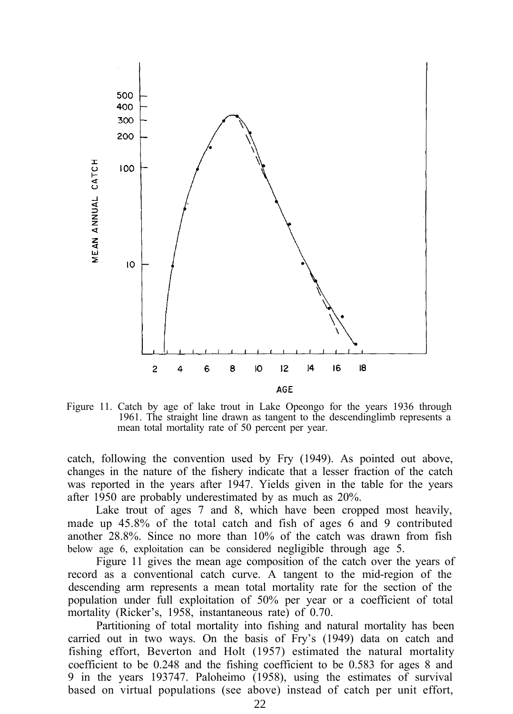

Figure 11. Catch by age of lake trout in Lake Opeongo for the years 1936 through 1961. The straight line drawn as tangent to the descendinglimb represents a mean total mortality rate of 50 percent per year.

catch, following the convention used by Fry (1949). As pointed out above, changes in the nature of the fishery indicate that a lesser fraction of the catch was reported in the years after 1947. Yields given in the table for the years after 1950 are probably underestimated by as much as 20%.

Lake trout of ages 7 and 8, which have been cropped most heavily, made up 45.8% of the total catch and fish of ages 6 and 9 contributed another 28.8%. Since no more than 10% of the catch was drawn from fish below age 6, exploitation can be considered negligible through age 5.

Figure 11 gives the mean age composition of the catch over the years of record as a conventional catch curve. A tangent to the mid-region of the descending arm represents a mean total mortality rate for the section of the population under full exploitation of 50% per year or a coefficient of total mortality (Ricker's, 1958, instantaneous rate) of 0.70.

Partitioning of total mortality into fishing and natural mortality has been carried out in two ways. On the basis of Fry's (1949) data on catch and fishing effort, Beverton and Holt (1957) estimated the natural mortality coefficient to be 0.248 and the fishing coefficient to be 0.583 for ages 8 and 9 in the years 193747. Paloheimo (1958), using the estimates of survival based on virtual populations (see above) instead of catch per unit effort,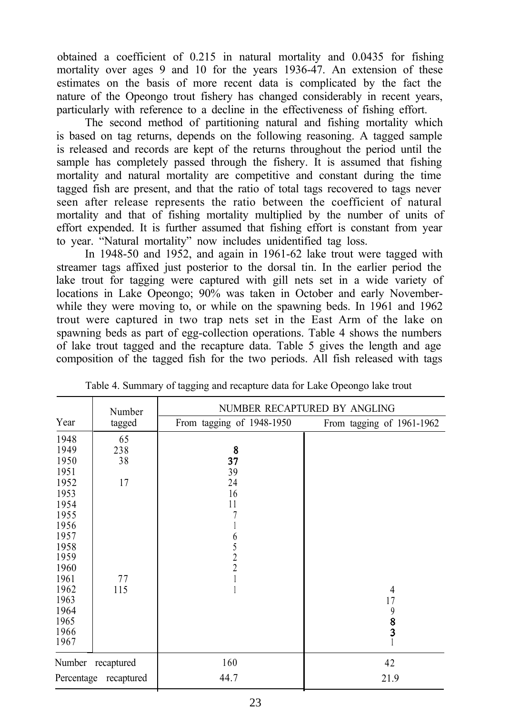obtained a coefficient of 0.215 in natural mortality and 0.0435 for fishing mortality over ages 9 and 10 for the years 1936-47. An extension of these estimates on the basis of more recent data is complicated by the fact the nature of the Opeongo trout fishery has changed considerably in recent years, particularly with reference to a decline in the effectiveness of fishing effort.

The second method of partitioning natural and fishing mortality which is based on tag returns, depends on the following reasoning. A tagged sample is released and records are kept of the returns throughout the period until the sample has completely passed through the fishery. It is assumed that fishing mortality and natural mortality are competitive and constant during the time tagged fish are present, and that the ratio of total tags recovered to tags never seen after release represents the ratio between the coefficient of natural mortality and that of fishing mortality multiplied by the number of units of effort expended. It is further assumed that fishing effort is constant from year to year. "Natural mortality" now includes unidentified tag loss.

In 1948-50 and 1952, and again in 1961-62 lake trout were tagged with streamer tags affixed just posterior to the dorsal tin. In the earlier period the lake trout for tagging were captured with gill nets set in a wide variety of locations in Lake Opeongo; 90% was taken in October and early Novemberwhile they were moving to, or while on the spawning beds. In 1961 and 1962 trout were captured in two trap nets set in the East Arm of the lake on spawning beds as part of egg-collection operations. Table 4 shows the numbers of lake trout tagged and the recapture data. Table 5 gives the length and age composition of the tagged fish for the two periods. All fish released with tags

|      | Number                | NUMBER RECAPTURED BY ANGLING |                           |  |  |  |  |  |  |  |
|------|-----------------------|------------------------------|---------------------------|--|--|--|--|--|--|--|
| Year | tagged                | From tagging of 1948-1950    | From tagging of 1961-1962 |  |  |  |  |  |  |  |
| 1948 | 65                    |                              |                           |  |  |  |  |  |  |  |
| 1949 | 238                   | 8                            |                           |  |  |  |  |  |  |  |
| 1950 | 38                    | 37                           |                           |  |  |  |  |  |  |  |
| 1951 |                       | 39                           |                           |  |  |  |  |  |  |  |
| 1952 | 17                    | 24                           |                           |  |  |  |  |  |  |  |
| 1953 |                       | 16                           |                           |  |  |  |  |  |  |  |
| 1954 |                       | 11                           |                           |  |  |  |  |  |  |  |
| 1955 |                       |                              |                           |  |  |  |  |  |  |  |
| 1956 |                       |                              |                           |  |  |  |  |  |  |  |
| 1957 |                       |                              |                           |  |  |  |  |  |  |  |
| 1958 |                       | $65$<br>$2$<br>$2$           |                           |  |  |  |  |  |  |  |
| 1959 |                       |                              |                           |  |  |  |  |  |  |  |
| 1960 |                       |                              |                           |  |  |  |  |  |  |  |
| 1961 | 77                    |                              |                           |  |  |  |  |  |  |  |
| 1962 | 115                   |                              | $\overline{4}$            |  |  |  |  |  |  |  |
| 1963 |                       |                              | 17                        |  |  |  |  |  |  |  |
| 1964 |                       |                              | 9                         |  |  |  |  |  |  |  |
| 1965 |                       |                              | $\frac{8}{3}$             |  |  |  |  |  |  |  |
| 1966 |                       |                              |                           |  |  |  |  |  |  |  |
| 1967 |                       |                              |                           |  |  |  |  |  |  |  |
|      | Number recaptured     | 160                          | 42                        |  |  |  |  |  |  |  |
|      | Percentage recaptured | 44.7                         | 21.9                      |  |  |  |  |  |  |  |

Table 4. Summary of tagging and recapture data for Lake Opeongo lake trout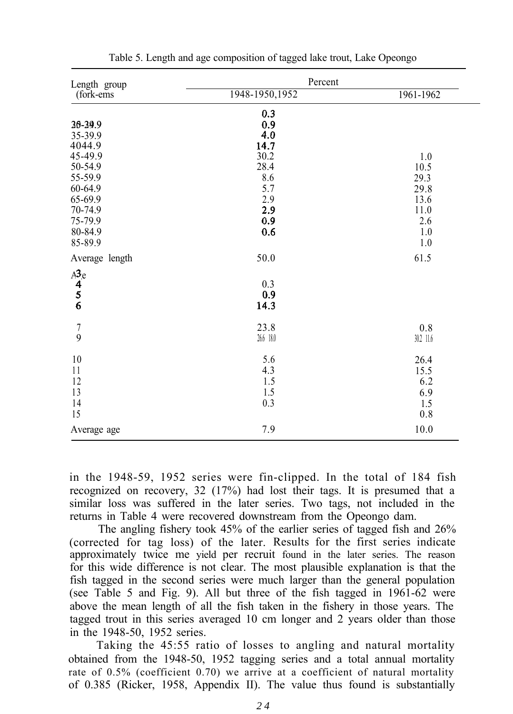| Length group               | Percent         |           |  |  |  |  |  |  |  |  |
|----------------------------|-----------------|-----------|--|--|--|--|--|--|--|--|
| (fork-ems)                 | 1948-1950, 1952 | 1961-1962 |  |  |  |  |  |  |  |  |
|                            | 0.3             |           |  |  |  |  |  |  |  |  |
| 36-39.9                    | 0.9             |           |  |  |  |  |  |  |  |  |
| 35-39.9                    | 4.0             |           |  |  |  |  |  |  |  |  |
| 4044.9                     | 14.7            |           |  |  |  |  |  |  |  |  |
| 45-49.9                    | 30.2            | 1.0       |  |  |  |  |  |  |  |  |
| 50-54.9                    | 28.4            | 10.5      |  |  |  |  |  |  |  |  |
| 55-59.9                    | 8.6             | 29.3      |  |  |  |  |  |  |  |  |
| 60-64.9                    | 5.7             | 29.8      |  |  |  |  |  |  |  |  |
| 65-69.9                    | 2.9             | 13.6      |  |  |  |  |  |  |  |  |
| 70-74.9                    | 2.9             | 11.0      |  |  |  |  |  |  |  |  |
| 75-79.9                    | 0.9             | 2.6       |  |  |  |  |  |  |  |  |
| 80-84.9                    | 0.6             | 1.0       |  |  |  |  |  |  |  |  |
| 85-89.9                    |                 | 1.0       |  |  |  |  |  |  |  |  |
| Average length             | 50.0            | 61.5      |  |  |  |  |  |  |  |  |
| $A^{3}_{4}e^{4}$<br>5<br>6 |                 |           |  |  |  |  |  |  |  |  |
|                            | 0.3             |           |  |  |  |  |  |  |  |  |
|                            | 0.9             |           |  |  |  |  |  |  |  |  |
|                            | 14.3            |           |  |  |  |  |  |  |  |  |
|                            | 23.8            | 0.8       |  |  |  |  |  |  |  |  |
| $\frac{7}{9}$              | 26.6 18.0       | 30.2 11.6 |  |  |  |  |  |  |  |  |
| 10                         | 5.6             | 26.4      |  |  |  |  |  |  |  |  |
| 11                         | 4.3             | 15.5      |  |  |  |  |  |  |  |  |
| 12                         | 1.5             | 6.2       |  |  |  |  |  |  |  |  |
| 13                         | 1.5             | 6.9       |  |  |  |  |  |  |  |  |
| 14                         | 0.3             | 1.5       |  |  |  |  |  |  |  |  |
| 15                         |                 | 0.8       |  |  |  |  |  |  |  |  |
| Average age                | 7.9             | 10.0      |  |  |  |  |  |  |  |  |
|                            |                 |           |  |  |  |  |  |  |  |  |

Table 5. Length and age composition of tagged lake trout, Lake Opeongo

in the 1948-59, 1952 series were fin-clipped. In the total of 184 fish recognized on recovery, 32 (17%) had lost their tags. It is presumed that a similar loss was suffered in the later series. Two tags, not included in the returns in Table 4 were recovered downstream from the Opeongo dam.

The angling fishery took 45% of the earlier series of tagged fish and 26% (corrected for tag loss) of the later. Results for the first series indicate approximately twice me yield per recruit found in the later series. The reason for this wide difference is not clear. The most plausible explanation is that the fish tagged in the second series were much larger than the general population (see Table 5 and Fig. 9). All but three of the fish tagged in 1961-62 were above the mean length of all the fish taken in the fishery in those years. The tagged trout in this series averaged 10 cm longer and 2 years older than those in the 1948-50, 1952 series.

Taking the 45:55 ratio of losses to angling and natural mortality obtained from the 1948-50, 1952 tagging series and a total annual mortality rate of 0.5% (coefficient 0.70) we arrive at a coefficient of natural mortality of 0.385 (Ricker, 1958, Appendix II). The value thus found is substantially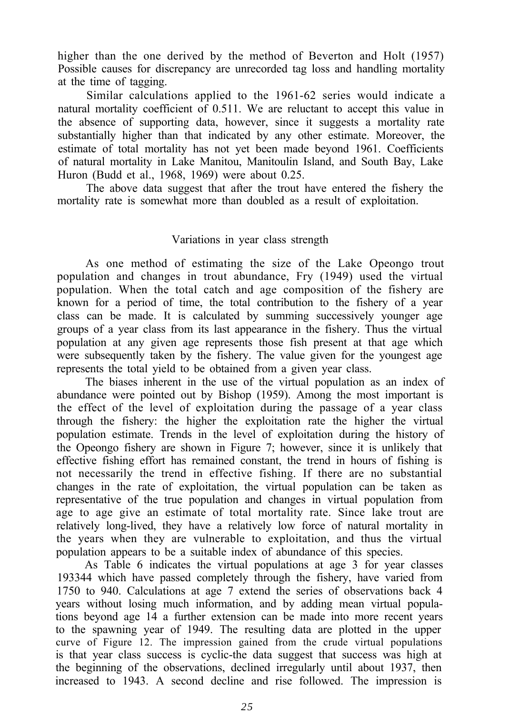higher than the one derived by the method of Beverton and Holt (1957) Possible causes for discrepancy are unrecorded tag loss and handling mortality at the time of tagging.

Similar calculations applied to the 1961-62 series would indicate a natural mortality coefficient of 0.511. We are reluctant to accept this value in the absence of supporting data, however, since it suggests a mortality rate substantially higher than that indicated by any other estimate. Moreover, the estimate of total mortality has not yet been made beyond 1961. Coefficients of natural mortality in Lake Manitou, Manitoulin Island, and South Bay, Lake Huron (Budd et al., 1968, 1969) were about 0.25.

The above data suggest that after the trout have entered the fishery the mortality rate is somewhat more than doubled as a result of exploitation.

#### Variations in year class strength

As one method of estimating the size of the Lake Opeongo trout population and changes in trout abundance, Fry (1949) used the virtual population. When the total catch and age composition of the fishery are known for a period of time, the total contribution to the fishery of a year class can be made. It is calculated by summing successively younger age groups of a year class from its last appearance in the fishery. Thus the virtual population at any given age represents those fish present at that age which were subsequently taken by the fishery. The value given for the youngest age represents the total yield to be obtained from a given year class.

The biases inherent in the use of the virtual population as an index of abundance were pointed out by Bishop (1959). Among the most important is the effect of the level of exploitation during the passage of a year class through the fishery: the higher the exploitation rate the higher the virtual population estimate. Trends in the level of exploitation during the history of the Opeongo fishery are shown in Figure 7; however, since it is unlikely that effective fishing effort has remained constant, the trend in hours of fishing is not necessarily the trend in effective fishing. If there are no substantial changes in the rate of exploitation, the virtual population can be taken as representative of the true population and changes in virtual population from age to age give an estimate of total mortality rate. Since lake trout are relatively long-lived, they have a relatively low force of natural mortality in the years when they are vulnerable to exploitation, and thus the virtual population appears to be a suitable index of abundance of this species.

As Table 6 indicates the virtual populations at age 3 for year classes 193344 which have passed completely through the fishery, have varied from 1750 to 940. Calculations at age 7 extend the series of observations back 4 years without losing much information, and by adding mean virtual populations beyond age 14 a further extension can be made into more recent years to the spawning year of 1949. The resulting data are plotted in the upper curve of Figure 12. The impression gained from the crude virtual populations is that year class success is cyclic-the data suggest that success was high at the beginning of the observations, declined irregularly until about 1937, then increased to 1943. A second decline and rise followed. The impression is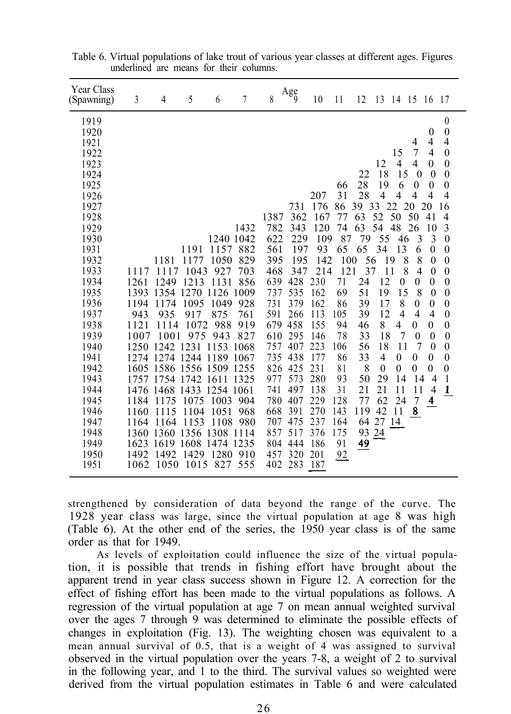| Year Class<br>(Spawning) | 3            | 4            | 5                   | 6                                | 7    | 8          | $\rm{Age}$ | 10         | 11       | 12       | 13             | 14 15 16         |                     |                                | -17                        |
|--------------------------|--------------|--------------|---------------------|----------------------------------|------|------------|------------|------------|----------|----------|----------------|------------------|---------------------|--------------------------------|----------------------------|
| 1919                     |              |              |                     |                                  |      |            |            |            |          |          |                |                  |                     |                                | $\boldsymbol{0}$           |
| 1920<br>1921             |              |              |                     |                                  |      |            |            |            |          |          |                |                  | 4                   | $\mathbf{0}$<br>$\overline{4}$ | $\theta$<br>$\overline{4}$ |
| 1922                     |              |              |                     |                                  |      |            |            |            |          |          |                | 15               | 7                   | $\overline{4}$                 | $\theta$                   |
| 1923                     |              |              |                     |                                  |      |            |            |            |          |          | 12             | $\overline{4}$   | 4                   | $\Omega$                       | $\theta$                   |
| 1924                     |              |              |                     |                                  |      |            |            |            |          | 22       | 18             | 15               | $\overline{0}$      | $\mathbf{0}$                   | $\theta$                   |
| 1925                     |              |              |                     |                                  |      |            |            |            | 66       | 28       | 19             | 6                | $\theta$            | $\theta$                       | $\theta$                   |
| 1926                     |              |              |                     |                                  |      |            |            | 207        | 31       | 28       | $\overline{4}$ | 4                | 4                   | $\overline{4}$                 | $\overline{4}$             |
| 1927                     |              |              |                     |                                  |      |            | 731        | 176        | 86       | 39 33    |                | 22               | 20                  | 20                             | 16                         |
| 1928                     |              |              |                     |                                  |      | 1387       | 362        | 167        | 77       | 63       | 52             | 50               | 50                  | 41                             | 4                          |
| 1929                     |              |              |                     |                                  | 1432 | 782        | 343        | 120        | 74       | 63       | 54             | 48               | 26                  | 10                             | 3                          |
| 1930                     |              |              |                     | 1240 1042                        |      | 622        | 229        | 109        | 87       | 79       | 55             | 46               | 3                   | 3                              | $\theta$                   |
| 1931                     |              |              | 1191                | 1157                             | 882  | 561        | 197        | 93         | 65       | 65       | 34             | 13               | 6                   | $\theta$                       | $\theta$                   |
| 1932                     |              | 1181         | 1177                | 1050                             | 829  | 395        | 195        | 142        | 100      | 56       |                | 8<br>19          | 8                   | $\Omega$                       | $\theta$                   |
| 1933                     | 1117         | 1117         | 1043                | 927                              | 703  | 468        | 347        | 214        | 121      | 37       |                | 11<br>8          | $\overline{4}$      | $\theta$                       | $\mathbf{0}$               |
| 1934                     | 1261         | 1249         | 1213                | 1131                             | 856  | 639        | 428        | 230        | 71       | 24       | 12             | $\theta$         | $\theta$            | $\theta$                       | $\boldsymbol{0}$           |
| 1935<br>1936             | 1194         | 1174         | 1095                | 1393 1354 1270 1126 1009<br>1049 | 928  | 737<br>731 | 535<br>379 | 162<br>162 | 69<br>86 | 51<br>39 | 19<br>17       | 15<br>8          | 8<br>$\overline{0}$ | $\theta$<br>$\theta$           | $\mathbf{0}$<br>$\theta$   |
| 1937                     | 943          | 935          | 917                 | 875                              | 761  | 591        | 266        | 113        | 105      | 39       | 12             | $\overline{4}$   | $\overline{4}$      | $\overline{4}$                 | $\boldsymbol{0}$           |
| 1938                     | 1121         | 1114         | 1072                | 988                              | 919  | 679        | 458        | 155        | 94       | 46       | 8              | 4                | $\theta$            | 0                              | $\theta$                   |
| 1939                     | 1007         | 1001         | 975                 | 943                              | 827  | 610        | 295        | 146        | 78       | 33       | 18             | 7                | $\theta$            | $\overline{0}$                 | $\mathbf{0}$               |
| 1940                     |              |              | 1250 1242 1231 1153 |                                  | 1068 | 757        | 407        | 223        | 106      | 56       | 18             | 11               | 7                   | $\theta$                       | $\mathbf{0}$               |
| 1941                     |              |              |                     | 1274 1274 1244 1189 1067         |      | 735        | 438        | 177        | 86       | 33       | 4              | $\boldsymbol{0}$ | $\mathbf{0}$        | $\boldsymbol{0}$               | $\theta$                   |
| 1942                     |              |              |                     | 1605 1586 1556 1509 1255         |      | 826        | 425        | 231        | 81       | 8        | $\theta$       | $\mathbf{0}$     | $\theta$            | $\theta$                       | $\theta$                   |
| 1943                     |              |              | 1757 1754 1742      | 1611                             | 1325 | 977        | 573        | 280        | 93       | 50       | 29             | 14               | 14                  | $\overline{4}$                 | $\mathbf{1}$               |
| 1944                     |              |              |                     | 1476 1468 1433 1254 1061         |      | 741        | 497        | 138        | 31       | 21       | 21             | 11               | 11                  | $\overline{4}$                 | 1                          |
| 1945                     | 1184         | 1175         | 1075                | 1003                             | 904  | 780        | 407        | 229        | 128      | 77       | 62             | 24               | $\overline{7}$      | 4                              |                            |
| 1946                     | 1160         | 1115         | 1104                | 1051                             | 968  | 668        | 391        | 270        | 143      | 119      | 42             | 11               | 8                   |                                |                            |
| 1947                     | 1164         | 1164         | 1153                | 1108                             | 980  | 707        | 475        | 237        | 164      |          | 64 27 14       |                  |                     |                                |                            |
| 1948                     |              |              | 1360 1360 1356 1308 |                                  | 1114 | 857        | 517        | 376        | 175      | 93       | 24             |                  |                     |                                |                            |
| 1949                     |              |              |                     | 1623 1619 1608 1474 1235         |      | 804        | 444        | 186        | 91       | 49       |                |                  |                     |                                |                            |
| 1950<br>1951             | 1492<br>1062 | 1492<br>1050 | 1015                | 1429 1280 910<br>827             | 555  | 457<br>402 | 320<br>283 | 201<br>187 | 92       |          |                |                  |                     |                                |                            |
|                          |              |              |                     |                                  |      |            |            |            |          |          |                |                  |                     |                                |                            |

Table 6. Virtual populations of lake trout of various year classes at different ages. Figures underlined are means for their columns.

strengthened by consideration of data beyond the range of the curve. The 1928 year class was large, since the virtual population at age 8 was high (Table 6). At the other end of the series, the 1950 year class is of the same order as that for 1949.

As levels of exploitation could influence the size of the virtual population, it is possible that trends in fishing effort have brought about the apparent trend in year class success shown in Figure 12. A correction for the effect of fishing effort has been made to the virtual populations as follows. A regression of the virtual population at age 7 on mean annual weighted survival over the ages 7 through 9 was determined to eliminate the possible effects of changes in exploitation (Fig. 13). The weighting chosen was equivalent to a mean annual survival of 0.5, that is a weight of 4 was assigned to survival observed in the virtual population over the years 7-8, a weight of 2 to survival in the following year, and 1 to the third. The survival values so weighted were derived from the virtual population estimates in Table 6 and were calculated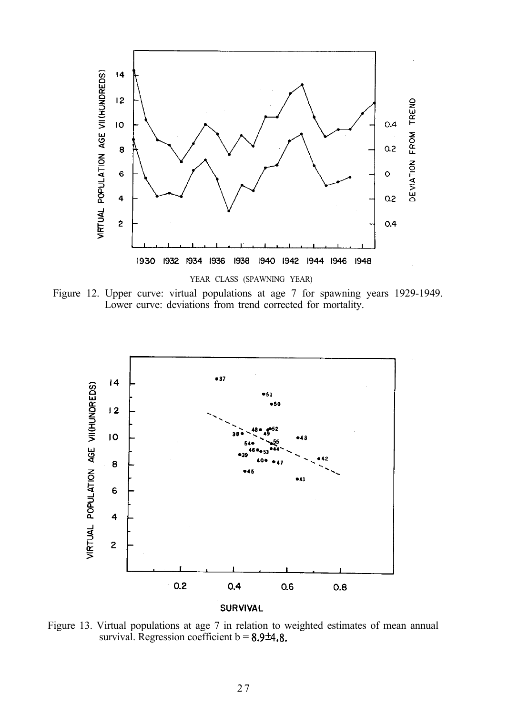

Figure 12. Upper curve: virtual populations at age 7 for spawning years 1929-1949. Lower curve: deviations from trend corrected for mortality.



Figure 13. Virtual populations at age 7 in relation to weighted estimates of mean annual survival. Regression coefficient  $b = 8.9 \pm 4.8$ .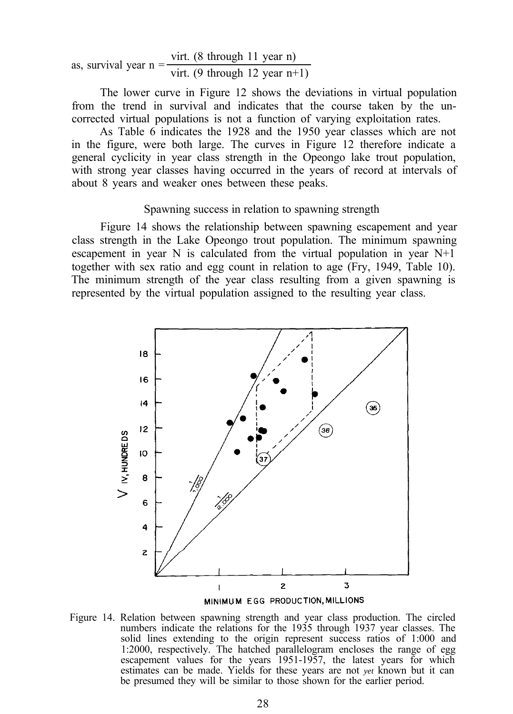as, survival year n = 
$$
\frac{\text{virt. (8 through 11 year n)}}{\text{virt. (9 through 12 year n+1)}}
$$

The lower curve in Figure 12 shows the deviations in virtual population from the trend in survival and indicates that the course taken by the uncorrected virtual populations is not a function of varying exploitation rates.

As Table 6 indicates the 1928 and the 1950 year classes which are not in the figure, were both large. The curves in Figure 12 therefore indicate a general cyclicity in year class strength in the Opeongo lake trout population, with strong year classes having occurred in the years of record at intervals of about 8 years and weaker ones between these peaks.

#### Spawning success in relation to spawning strength

Figure 14 shows the relationship between spawning escapement and year class strength in the Lake Opeongo trout population. The minimum spawning escapement in year N is calculated from the virtual population in year  $N+1$ together with sex ratio and egg count in relation to age (Fry, 1949, Table 10). The minimum strength of the year class resulting from a given spawning is represented by the virtual population assigned to the resulting year class.



Figure 14. Relation between spawning strength and year class production. The circled numbers indicate the relations for the 1935 through 1937 year classes. The solid lines extending to the origin represent success ratios of 1:000 and 1:2000, respectively. The hatched parallelogram encloses the range of egg escapement values for the years 1951-1957, the latest years for which estimates can be made. Yields for these years are not *yet* known but it can be presumed they will be similar to those shown for the earlier period.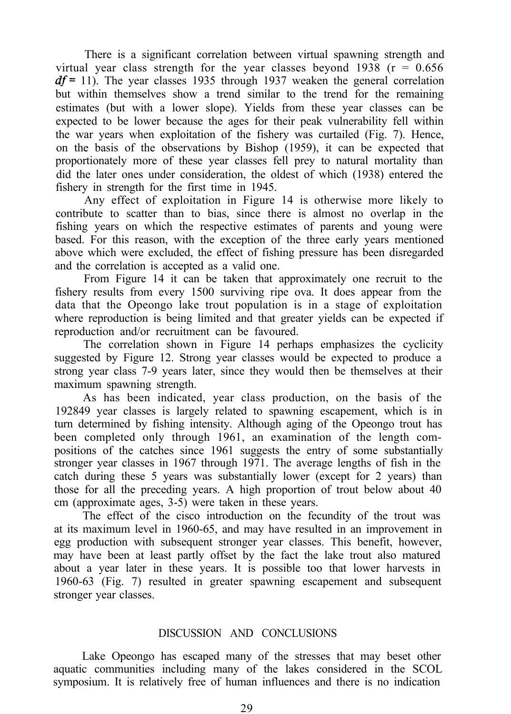There is a significant correlation between virtual spawning strength and virtual year class strength for the year classes beyond 1938 ( $r = 0.656$ )  $df = 11$ ). The year classes 1935 through 1937 weaken the general correlation but within themselves show a trend similar to the trend for the remaining estimates (but with a lower slope). Yields from these year classes can be expected to be lower because the ages for their peak vulnerability fell within the war years when exploitation of the fishery was curtailed (Fig. 7). Hence, on the basis of the observations by Bishop (1959), it can be expected that proportionately more of these year classes fell prey to natural mortality than did the later ones under consideration, the oldest of which (1938) entered the fishery in strength for the first time in 1945.

Any effect of exploitation in Figure 14 is otherwise more likely to contribute to scatter than to bias, since there is almost no overlap in the fishing years on which the respective estimates of parents and young were based. For this reason, with the exception of the three early years mentioned above which were excluded, the effect of fishing pressure has been disregarded and the correlation is accepted as a valid one.

From Figure 14 it can be taken that approximately one recruit to the fishery results from every 1500 surviving ripe ova. It does appear from the data that the Opeongo lake trout population is in a stage of exploitation where reproduction is being limited and that greater yields can be expected if reproduction and/or recruitment can be favoured.

The correlation shown in Figure 14 perhaps emphasizes the cyclicity suggested by Figure 12. Strong year classes would be expected to produce a strong year class 7-9 years later, since they would then be themselves at their maximum spawning strength.

As has been indicated, year class production, on the basis of the 192849 year classes is largely related to spawning escapement, which is in turn determined by fishing intensity. Although aging of the Opeongo trout has been completed only through 1961, an examination of the length compositions of the catches since 1961 suggests the entry of some substantially stronger year classes in 1967 through 1971. The average lengths of fish in the catch during these 5 years was substantially lower (except for 2 years) than those for all the preceding years. A high proportion of trout below about 40 cm (approximate ages, 3-5) were taken in these years.

The effect of the cisco introduction on the fecundity of the trout was at its maximum level in 1960-65, and may have resulted in an improvement in egg production with subsequent stronger year classes. This benefit, however, may have been at least partly offset by the fact the lake trout also matured about a year later in these years. It is possible too that lower harvests in 1960-63 (Fig. 7) resulted in greater spawning escapement and subsequent stronger year classes.

#### DISCUSSION AND CONCLUSIONS

Lake Opeongo has escaped many of the stresses that may beset other aquatic communities including many of the lakes considered in the SCOL symposium. It is relatively free of human influences and there is no indication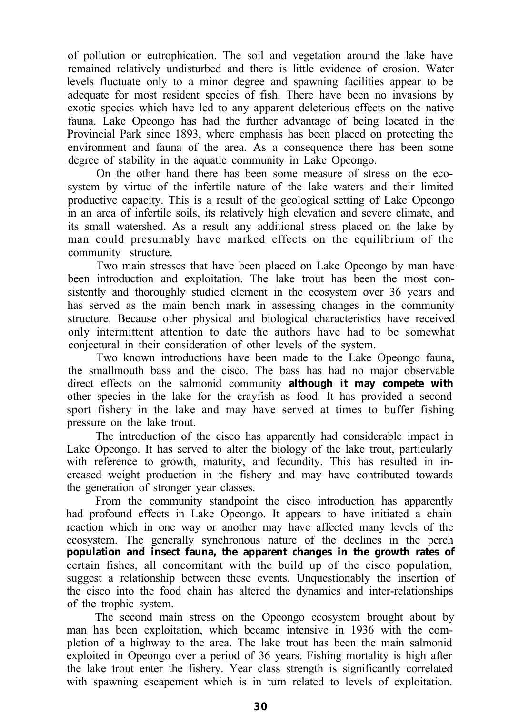of pollution or eutrophication. The soil and vegetation around the lake have remained relatively undisturbed and there is little evidence of erosion. Water levels fluctuate only to a minor degree and spawning facilities appear to be adequate for most resident species of fish. There have been no invasions by exotic species which have led to any apparent deleterious effects on the native fauna. Lake Opeongo has had the further advantage of being located in the Provincial Park since 1893, where emphasis has been placed on protecting the environment and fauna of the area. As a consequence there has been some degree of stability in the aquatic community in Lake Opeongo.

On the other hand there has been some measure of stress on the ecosystem by virtue of the infertile nature of the lake waters and their limited productive capacity. This is a result of the geological setting of Lake Opeongo in an area of infertile soils, its relatively high elevation and severe climate, and its small watershed. As a result any additional stress placed on the lake by man could presumably have marked effects on the equilibrium of the community structure.

Two main stresses that have been placed on Lake Opeongo by man have been introduction and exploitation. The lake trout has been the most consistently and thoroughly studied element in the ecosystem over 36 years and has served as the main bench mark in assessing changes in the community structure. Because other physical and biological characteristics have received only intermittent attention to date the authors have had to be somewhat conjectural in their consideration of other levels of the system.

Two known introductions have been made to the Lake Opeongo fauna, the smallmouth bass and the cisco. The bass has had no major observable direct effects on the salmonid community **although it may compete with** other species in the lake for the crayfish as food. It has provided a second sport fishery in the lake and may have served at times to buffer fishing pressure on the lake trout.

The introduction of the cisco has apparently had considerable impact in Lake Opeongo. It has served to alter the biology of the lake trout, particularly with reference to growth, maturity, and fecundity. This has resulted in increased weight production in the fishery and may have contributed towards the generation of stronger year classes.

From the community standpoint the cisco introduction has apparently had profound effects in Lake Opeongo. It appears to have initiated a chain reaction which in one way or another may have affected many levels of the ecosystem. The generally synchronous nature of the declines in the perch **population and insect fauna, the apparent changes in the growth rates of** certain fishes, all concomitant with the build up of the cisco population, suggest a relationship between these events. Unquestionably the insertion of the cisco into the food chain has altered the dynamics and inter-relationships of the trophic system.

The second main stress on the Opeongo ecosystem brought about by man has been exploitation, which became intensive in 1936 with the completion of a highway to the area. The lake trout has been the main salmonid exploited in Opeongo over a period of 36 years. Fishing mortality is high after the lake trout enter the fishery. Year class strength is significantly correlated with spawning escapement which is in turn related to levels of exploitation.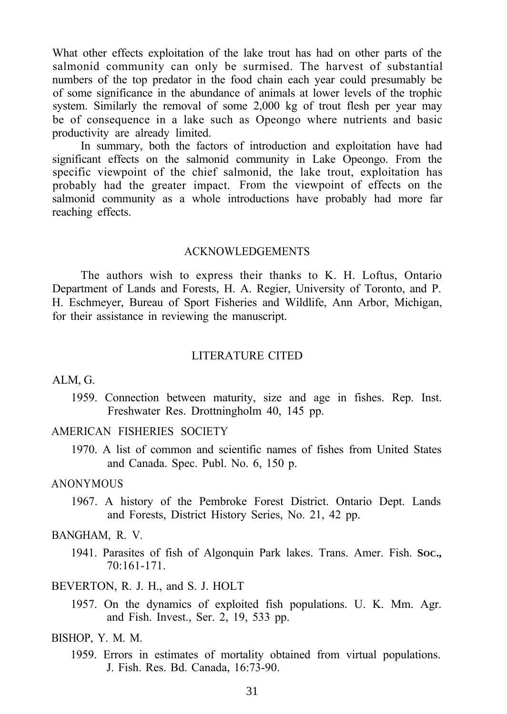What other effects exploitation of the lake trout has had on other parts of the salmonid community can only be surmised. The harvest of substantial numbers of the top predator in the food chain each year could presumably be of some significance in the abundance of animals at lower levels of the trophic system. Similarly the removal of some 2,000 kg of trout flesh per year may be of consequence in a lake such as Opeongo where nutrients and basic productivity are already limited.

In summary, both the factors of introduction and exploitation have had significant effects on the salmonid community in Lake Opeongo. From the specific viewpoint of the chief salmonid, the lake trout, exploitation has probably had the greater impact. From the viewpoint of effects on the salmonid community as a whole introductions have probably had more far reaching effects.

#### ACKNOWLEDGEMENTS

The authors wish to express their thanks to K. H. Loftus, Ontario Department of Lands and Forests, H. A. Regier, University of Toronto, and P. H. Eschmeyer, Bureau of Sport Fisheries and Wildlife, Ann Arbor, Michigan, for their assistance in reviewing the manuscript.

#### LITERATURE CITED

#### ALM, G.

1959. Connection between maturity, size and age in fishes. Rep. Inst. Freshwater Res. Drottningholm 40, 145 pp.

#### AMERICAN FISHERIES SOCIETY

1970. A list of common and scientific names of fishes from United States and Canada. Spec. Publ. No. 6, 150 p.

#### **ANONYMOUS**

1967. A history of the Pembroke Forest District. Ontario Dept. Lands and Forests, District History Series, No. 21, 42 pp.

#### BANGHAM, R. V.

1941. Parasites of fish of Algonquin Park lakes. Trans. Amer. Fish. **SOC.,** 70:161-171.

#### BEVERTON, R. J. H., and S. J. HOLT

1957. On the dynamics of exploited fish populations. U. K. Mm. Agr. and Fish. Invest., Ser. 2, 19, 533 pp.

#### BISHOP, Y. M. M.

1959. Errors in estimates of mortality obtained from virtual populations. J. Fish. Res. Bd. Canada, 16:73-90.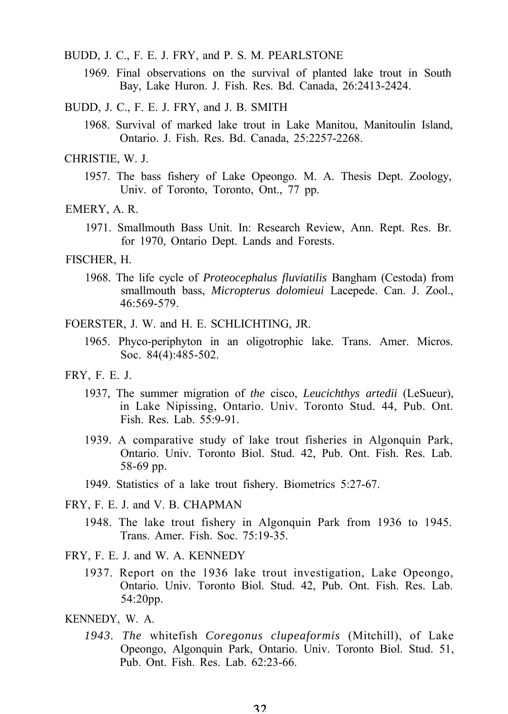BUDD, J. C., F. E. J. FRY, and P. S. M. PEARLSTONE

- 1969. Final observations on the survival of planted lake trout in South Bay, Lake Huron. J. Fish. Res. Bd. Canada, 26:2413-2424.
- BUDD, J. C., F. E. J. FRY, and J. B. SMITH
	- 1968. Survival of marked lake trout in Lake Manitou, Manitoulin Island, Ontario. J. Fish. Res. Bd. Canada, 25:2257-2268.

#### CHRISTIE, W. J.

1957. The bass fishery of Lake Opeongo. M. A. Thesis Dept. Zoology, Univ. of Toronto, Toronto, Ont., 77 pp.

#### EMERY, A. R.

1971. Smallmouth Bass Unit. In: Research Review, Ann. Rept. Res. Br. for 1970, Ontario Dept. Lands and Forests.

#### FISCHER, H.

1968. The life cycle of *Proteocephalus fluviatilis* Bangham (Cestoda) from smallmouth bass, *Micropterus dolomieui* Lacepede. Can. J. Zool., 46:569-579.

FOERSTER, J. W. and H. E. SCHLICHTING, JR.

- 1965. Phyco-periphyton in an oligotrophic lake. Trans. Amer. Micros. Soc. 84(4):485-502.
- FRY, F. E. J.
	- 1937, The summer migration of *the* cisco, *Leucichthys artedii* (LeSueur), in Lake Nipissing, Ontario. Univ. Toronto Stud. 44, Pub. Ont. Fish. Res. Lab. 55:9-91.
	- 1939. A comparative study of lake trout fisheries in Algonquin Park, Ontario. Univ. Toronto Biol. Stud. 42, Pub. Ont. Fish. Res. Lab. 58-69 pp.
	- 1949. Statistics of a lake trout fishery. Biometrics 5:27-67.

FRY, F. E. J. and V. B. CHAPMAN

- 1948. The lake trout fishery in Algonquin Park from 1936 to 1945. Trans. Amer. Fish. Soc. 75:19-35.
- FRY, F. E. J. and W. A. KENNEDY
	- 1937. Report on the 1936 lake trout investigation, Lake Opeongo, Ontario. Univ. Toronto Biol. Stud. 42, Pub. Ont. Fish. Res. Lab. 54:20pp.
- KENNEDY, W. A.
	- *1943. The* whitefish *Coregonus clupeaformis* (Mitchill), of Lake Opeongo, Algonquin Park, Ontario. Univ. Toronto Biol. Stud. 51, Pub. Ont. Fish. Res. Lab. 62:23-66.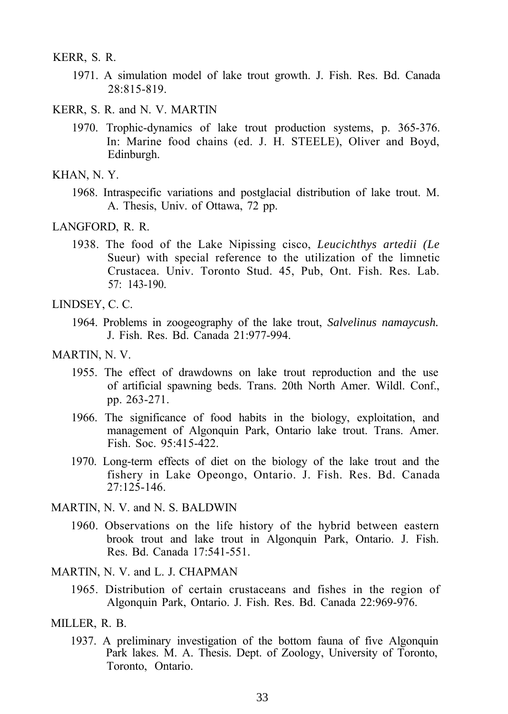KERR, S. R.

- 1971. A simulation model of lake trout growth. J. Fish. Res. Bd. Canada 28:815-819.
- KERR, S. R. and N. V. MARTIN
	- 1970. Trophic-dynamics of lake trout production systems, p. 365-376. In: Marine food chains (ed. J. H. STEELE), Oliver and Boyd, Edinburgh.

1968. Intraspecific variations and postglacial distribution of lake trout. M. A. Thesis, Univ. of Ottawa, 72 pp.

1938. The food of the Lake Nipissing cisco, *Leucichthys artedii (Le* Sueur) with special reference to the utilization of the limnetic Crustacea. Univ. Toronto Stud. 45, Pub, Ont. Fish. Res. Lab. 57: 143-190.

- 1955. The effect of drawdowns on lake trout reproduction and the use of artificial spawning beds. Trans. 20th North Amer. Wildl. Conf., pp. 263-271.
- 1966. The significance of food habits in the biology, exploitation, and management of Algonquin Park, Ontario lake trout. Trans. Amer. Fish. Soc. 95:415-422.
- 1970. Long-term effects of diet on the biology of the lake trout and the fishery in Lake Opeongo, Ontario. J. Fish. Res. Bd. Canada  $27:125-146.$
- MARTIN, N. V. and N. S. BALDWIN
	- 1960. Observations on the life history of the hybrid between eastern brook trout and lake trout in Algonquin Park, Ontario. J. Fish. Res. Bd. Canada 17:541-551.
- MARTIN, N. V. and L. J. CHAPMAN
	- 1965. Distribution of certain crustaceans and fishes in the region of Algonquin Park, Ontario. J. Fish. Res. Bd. Canada 22:969-976.
- MILLER, R. B.
	- 1937. A preliminary investigation of the bottom fauna of five Algonquin Park lakes. M. A. Thesis. Dept. of Zoology, University of Toronto, Toronto, Ontario.

KHAN, N. Y.

LANGFORD, R. R.

LINDSEY, C. C.

<sup>1964.</sup> Problems in zoogeography of the lake trout, *Salvelinus namaycush.* J. Fish. Res. Bd. Canada 21:977-994.

MARTIN, N. V.